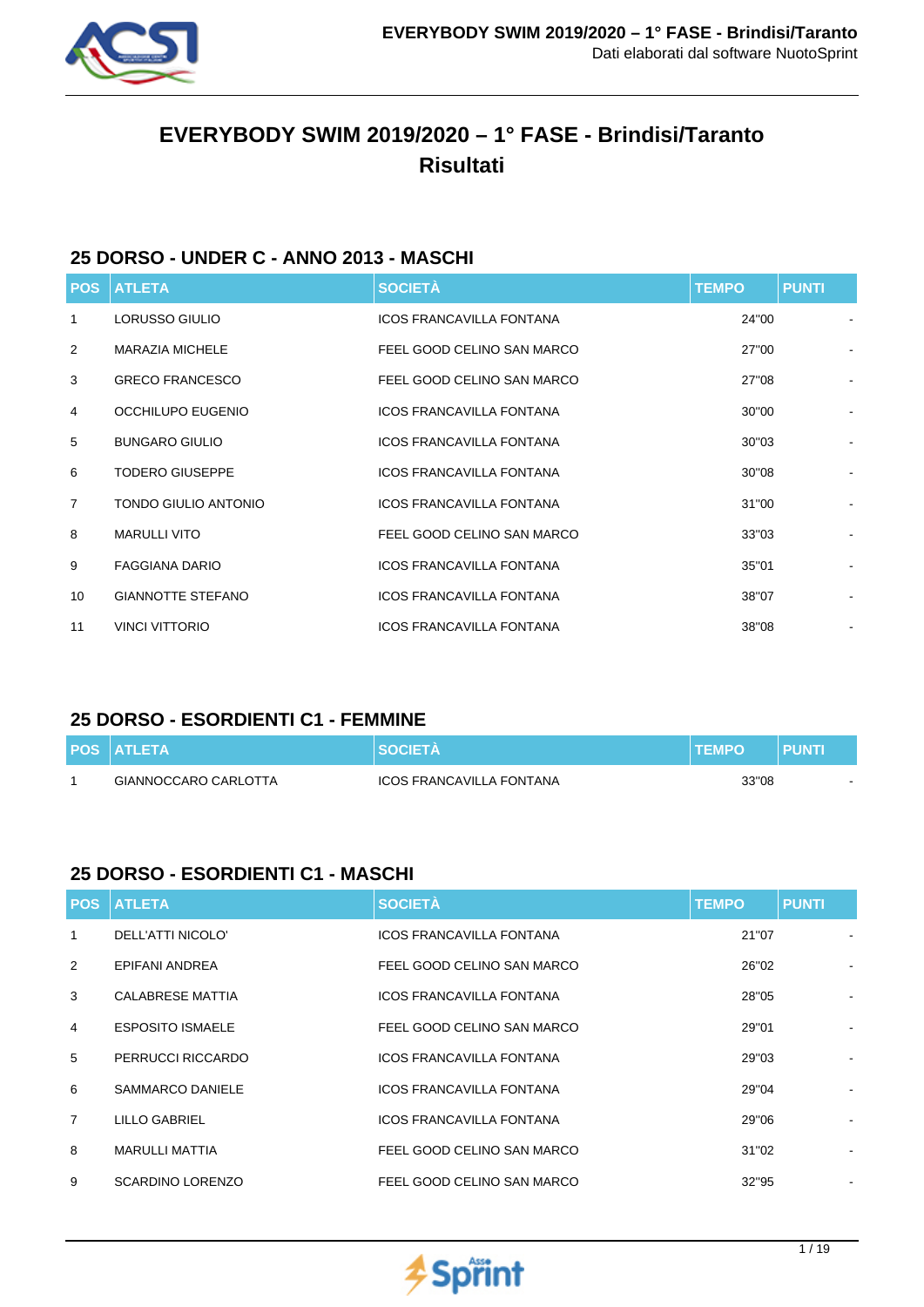

# **EVERYBODY SWIM 2019/2020 – 1° FASE - Brindisi/Taranto Risultati**

### **25 DORSO - UNDER C - ANNO 2013 - MASCHI**

| <b>POS</b>     | <b>ATLETA</b>               | <b>SOCIETÀ</b>                  | <b>TEMPO</b> | <b>PUNTI</b>                 |
|----------------|-----------------------------|---------------------------------|--------------|------------------------------|
| -1             | LORUSSO GIULIO              | <b>ICOS FRANCAVILLA FONTANA</b> | 24"00        | $\qquad \qquad \blacksquare$ |
| 2              | <b>MARAZIA MICHELE</b>      | FEEL GOOD CELINO SAN MARCO      | 27"00        |                              |
| 3              | <b>GRECO FRANCESCO</b>      | FEEL GOOD CELINO SAN MARCO      | 27"08        |                              |
| 4              | OCCHILUPO EUGENIO           | <b>ICOS FRANCAVILLA FONTANA</b> | 30"00        |                              |
| 5              | <b>BUNGARO GIULIO</b>       | <b>ICOS FRANCAVILLA FONTANA</b> | 30"03        |                              |
| 6              | <b>TODERO GIUSEPPE</b>      | <b>ICOS FRANCAVILLA FONTANA</b> | 30"08        |                              |
| $\overline{7}$ | <b>TONDO GIULIO ANTONIO</b> | <b>ICOS FRANCAVILLA FONTANA</b> | 31"00        |                              |
| 8              | <b>MARULLI VITO</b>         | FEEL GOOD CELINO SAN MARCO      | 33"03        |                              |
| 9              | <b>FAGGIANA DARIO</b>       | <b>ICOS FRANCAVILLA FONTANA</b> | 35"01        |                              |
| 10             | <b>GIANNOTTE STEFANO</b>    | <b>ICOS FRANCAVILLA FONTANA</b> | 38"07        | $\overline{\phantom{0}}$     |
| 11             | <b>VINCI VITTORIO</b>       | <b>ICOS FRANCAVILLA FONTANA</b> | 38"08        | $\overline{\phantom{a}}$     |

# **25 DORSO - ESORDIENTI C1 - FEMMINE**

| <b>POS ATLETA</b>    |                          | <b>TEMPO</b> | PUNT |
|----------------------|--------------------------|--------------|------|
| GIANNOCCARO CARLOTTA | ICOS FRANCAVILLA FONTANA | 33"08        |      |

### **25 DORSO - ESORDIENTI C1 - MASCHI**

| <b>POS</b>     | <b>ATLETA</b>           | <b>SOCIETÀ</b>                  | <b>TEMPO</b> | <b>PUNTI</b> |                |
|----------------|-------------------------|---------------------------------|--------------|--------------|----------------|
| 1              | DELL'ATTI NICOLO'       | <b>ICOS FRANCAVILLA FONTANA</b> | 21"07        |              |                |
| 2              | EPIFANI ANDREA          | FEEL GOOD CELINO SAN MARCO      | 26"02        |              |                |
| 3              | CALABRESE MATTIA        | ICOS FRANCAVILLA FONTANA        | 28"05        |              |                |
| $\overline{4}$ | <b>ESPOSITO ISMAELE</b> | FEEL GOOD CELINO SAN MARCO      | 29"01        |              |                |
| 5              | PERRUCCI RICCARDO       | <b>ICOS FRANCAVILLA FONTANA</b> | 29"03        |              |                |
| 6              | SAMMARCO DANIELE        | ICOS FRANCAVILLA FONTANA        | 29"04        |              |                |
| $\overline{7}$ | <b>LILLO GABRIEL</b>    | <b>ICOS FRANCAVILLA FONTANA</b> | 29"06        |              |                |
| 8              | <b>MARULLI MATTIA</b>   | FEEL GOOD CELINO SAN MARCO      | 31"02        |              | $\blacksquare$ |
| 9              | <b>SCARDINO LORENZO</b> | FEEL GOOD CELINO SAN MARCO      | 32"95        |              | $\blacksquare$ |

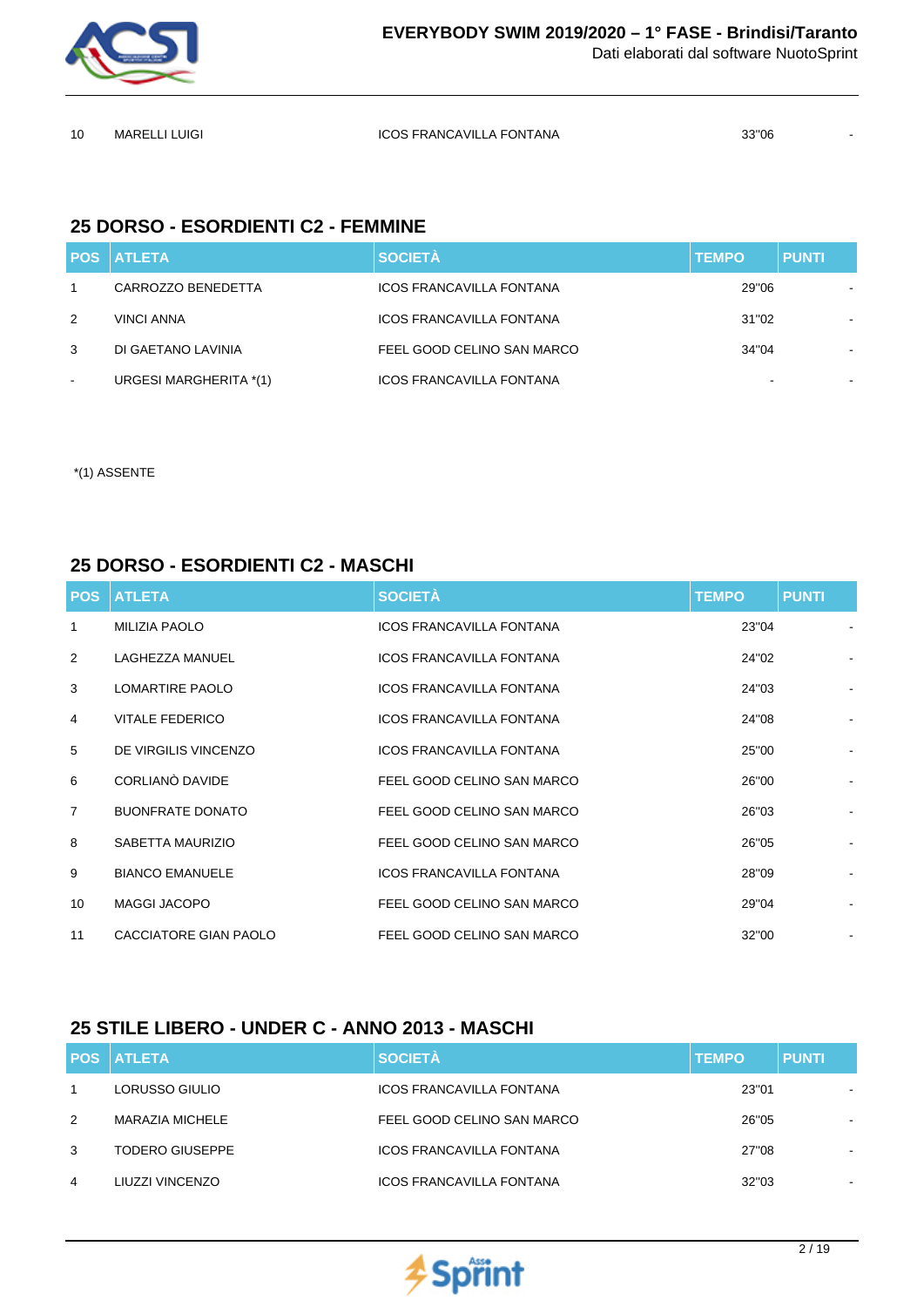

MARELLI LUIGI ICOS FRANCAVILLA FONTANA 33''06 -

### **25 DORSO - ESORDIENTI C2 - FEMMINE**

|        | <b>POS ATLETA</b>      | <b>SOCIETÀ</b>                  | <b>TEMPO</b> | <b>PUNTI</b>   |
|--------|------------------------|---------------------------------|--------------|----------------|
|        | CARROZZO BENEDETTA     | <b>ICOS FRANCAVILLA FONTANA</b> | 29"06        |                |
| 2      | <b>VINCI ANNA</b>      | <b>ICOS FRANCAVILLA FONTANA</b> | 31"02        | $\blacksquare$ |
| 3      | DI GAETANO LAVINIA     | FEEL GOOD CELINO SAN MARCO      | 34"04        | $\blacksquare$ |
| $\sim$ | URGESI MARGHERITA *(1) | <b>ICOS FRANCAVILLA FONTANA</b> |              |                |

\*(1) ASSENTE

#### **25 DORSO - ESORDIENTI C2 - MASCHI**

| <b>POS</b>     | <b>ATLETA</b>           | <b>SOCIETÀ</b>                  | <b>TEMPO</b> | <b>PUNTI</b>                 |
|----------------|-------------------------|---------------------------------|--------------|------------------------------|
| 1              | <b>MILIZIA PAOLO</b>    | <b>ICOS FRANCAVILLA FONTANA</b> | 23"04        |                              |
| 2              | LAGHEZZA MANUEL         | <b>ICOS FRANCAVILLA FONTANA</b> | 24"02        |                              |
| 3              | <b>LOMARTIRE PAOLO</b>  | <b>ICOS FRANCAVILLA FONTANA</b> | 24"03        |                              |
| 4              | <b>VITALE FEDERICO</b>  | <b>ICOS FRANCAVILLA FONTANA</b> | 24"08        |                              |
| 5              | DE VIRGILIS VINCENZO    | <b>ICOS FRANCAVILLA FONTANA</b> | 25"00        |                              |
| 6              | CORLIANO DAVIDE         | FEEL GOOD CELINO SAN MARCO      | 26"00        | $\qquad \qquad \blacksquare$ |
| $\overline{7}$ | <b>BUONFRATE DONATO</b> | FEEL GOOD CELINO SAN MARCO      | 26"03        |                              |
| 8              | SABETTA MAURIZIO        | FEEL GOOD CELINO SAN MARCO      | 26"05        |                              |
| 9              | <b>BIANCO EMANUELE</b>  | <b>ICOS FRANCAVILLA FONTANA</b> | 28"09        |                              |
| 10             | <b>MAGGI JACOPO</b>     | FEEL GOOD CELINO SAN MARCO      | 29"04        |                              |
| 11             | CACCIATORE GIAN PAOLO   | FEEL GOOD CELINO SAN MARCO      | 32"00        | $\blacksquare$               |

### **25 STILE LIBERO - UNDER C - ANNO 2013 - MASCHI**

|   | <b>POS ATLETA</b>      | <b>SOCIETÀ</b>                  | <b>TEMPO</b> | <b>PUNTI</b> |
|---|------------------------|---------------------------------|--------------|--------------|
| 1 | LORUSSO GIULIO         | <b>ICOS FRANCAVILLA FONTANA</b> | 23"01        |              |
| 2 | MARAZIA MICHELE        | FEEL GOOD CELINO SAN MARCO      | 26"05        | -            |
| 3 | <b>TODERO GIUSEPPE</b> | <b>ICOS FRANCAVILLA FONTANA</b> | 27"08        | -            |
| 4 | LIUZZI VINCENZO        | <b>ICOS FRANCAVILLA FONTANA</b> | 32"03        | $\,$         |

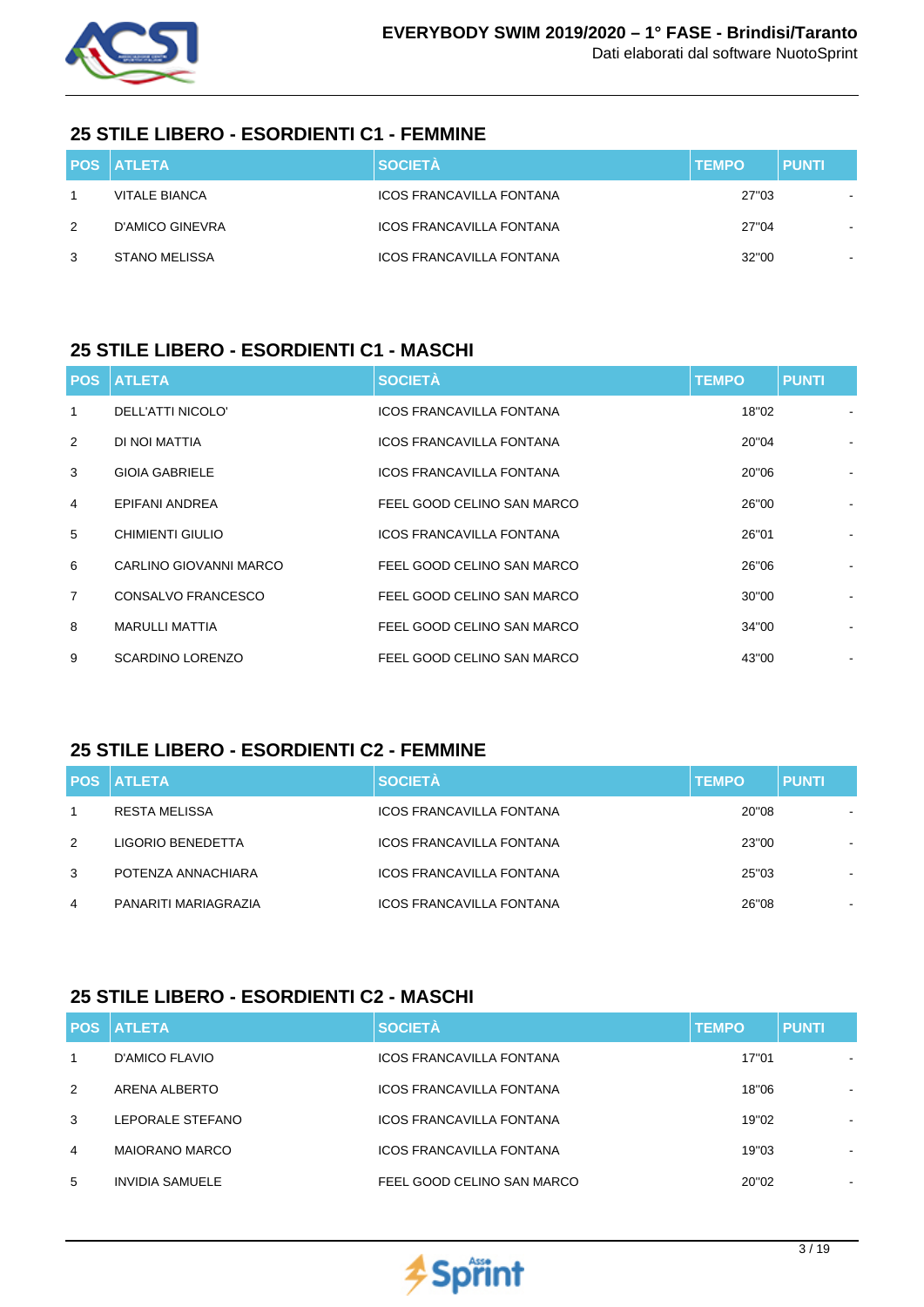

# **25 STILE LIBERO - ESORDIENTI C1 - FEMMINE**

|               | <b>POS ATLETA</b>    | <b>SOCIETÀ</b>                  | <b>TEMPO</b> | <b>PUNTI</b> |
|---------------|----------------------|---------------------------------|--------------|--------------|
|               | <b>VITALE BIANCA</b> | <b>ICOS FRANCAVILLA FONTANA</b> | 27"03        |              |
| $\mathcal{P}$ | D'AMICO GINEVRA      | ICOS FRANCAVILLA FONTANA        | 27"04        |              |
| 3             | <b>STANO MELISSA</b> | <b>ICOS FRANCAVILLA FONTANA</b> | 32"00        |              |

### **25 STILE LIBERO - ESORDIENTI C1 - MASCHI**

|                | <b>POS ATLETA</b>       | <b>SOCIETÀ</b>                  | <b>TEMPO</b> | <b>PUNTI</b>   |
|----------------|-------------------------|---------------------------------|--------------|----------------|
| 1              | DELL'ATTI NICOLO'       | <b>ICOS FRANCAVILLA FONTANA</b> | 18"02        |                |
| 2              | DI NOI MATTIA           | <b>ICOS FRANCAVILLA FONTANA</b> | 20"04        |                |
| 3              | <b>GIOIA GABRIELE</b>   | ICOS FRANCAVILLA FONTANA        | 20"06        |                |
| $\overline{4}$ | EPIFANI ANDREA          | FEEL GOOD CELINO SAN MARCO      | 26"00        |                |
| 5              | CHIMIENTI GIULIO        | <b>ICOS FRANCAVILLA FONTANA</b> | 26"01        |                |
| 6              | CARLINO GIOVANNI MARCO  | FEEL GOOD CELINO SAN MARCO      | 26"06        |                |
| $\overline{7}$ | CONSALVO FRANCESCO      | FEEL GOOD CELINO SAN MARCO      | 30"00        |                |
| 8              | <b>MARULLI MATTIA</b>   | FEEL GOOD CELINO SAN MARCO      | 34"00        |                |
| 9              | <b>SCARDINO LORENZO</b> | FEEL GOOD CELINO SAN MARCO      | 43"00        | $\blacksquare$ |

# **25 STILE LIBERO - ESORDIENTI C2 - FEMMINE**

|   | <b>POS ATLETA</b>    | <b>SOCIETÀ</b>                  | <b>TEMPO</b> | <b>PUNTI</b>   |
|---|----------------------|---------------------------------|--------------|----------------|
|   | <b>RESTA MELISSA</b> | <b>ICOS FRANCAVILLA FONTANA</b> | 20"08        |                |
| 2 | LIGORIO BENEDETTA    | <b>ICOS FRANCAVILLA FONTANA</b> | 23"00        |                |
| 3 | POTENZA ANNACHIARA   | <b>ICOS FRANCAVILLA FONTANA</b> | 25"03        | $\blacksquare$ |
| 4 | PANARITI MARIAGRAZIA | <b>ICOS FRANCAVILLA FONTANA</b> | 26"08        | $\blacksquare$ |

# **25 STILE LIBERO - ESORDIENTI C2 - MASCHI**

|              | <b>POS ATLETA</b>      | <b>SOCIETÀ</b>                  | <b>TEMPO</b> | <b>PUNTI</b> |
|--------------|------------------------|---------------------------------|--------------|--------------|
| $\mathbf{1}$ | D'AMICO FLAVIO         | ICOS FRANCAVILLA FONTANA        | 17"01        |              |
| 2            | ARENA ALBERTO          | <b>ICOS FRANCAVILLA FONTANA</b> | 18"06        |              |
| 3            | LEPORALE STEFANO       | <b>ICOS FRANCAVILLA FONTANA</b> | 19"02        |              |
| 4            | <b>MAIORANO MARCO</b>  | <b>ICOS FRANCAVILLA FONTANA</b> | 19"03        |              |
| 5            | <b>INVIDIA SAMUELE</b> | FEEL GOOD CELINO SAN MARCO      | 20"02        | ٠            |

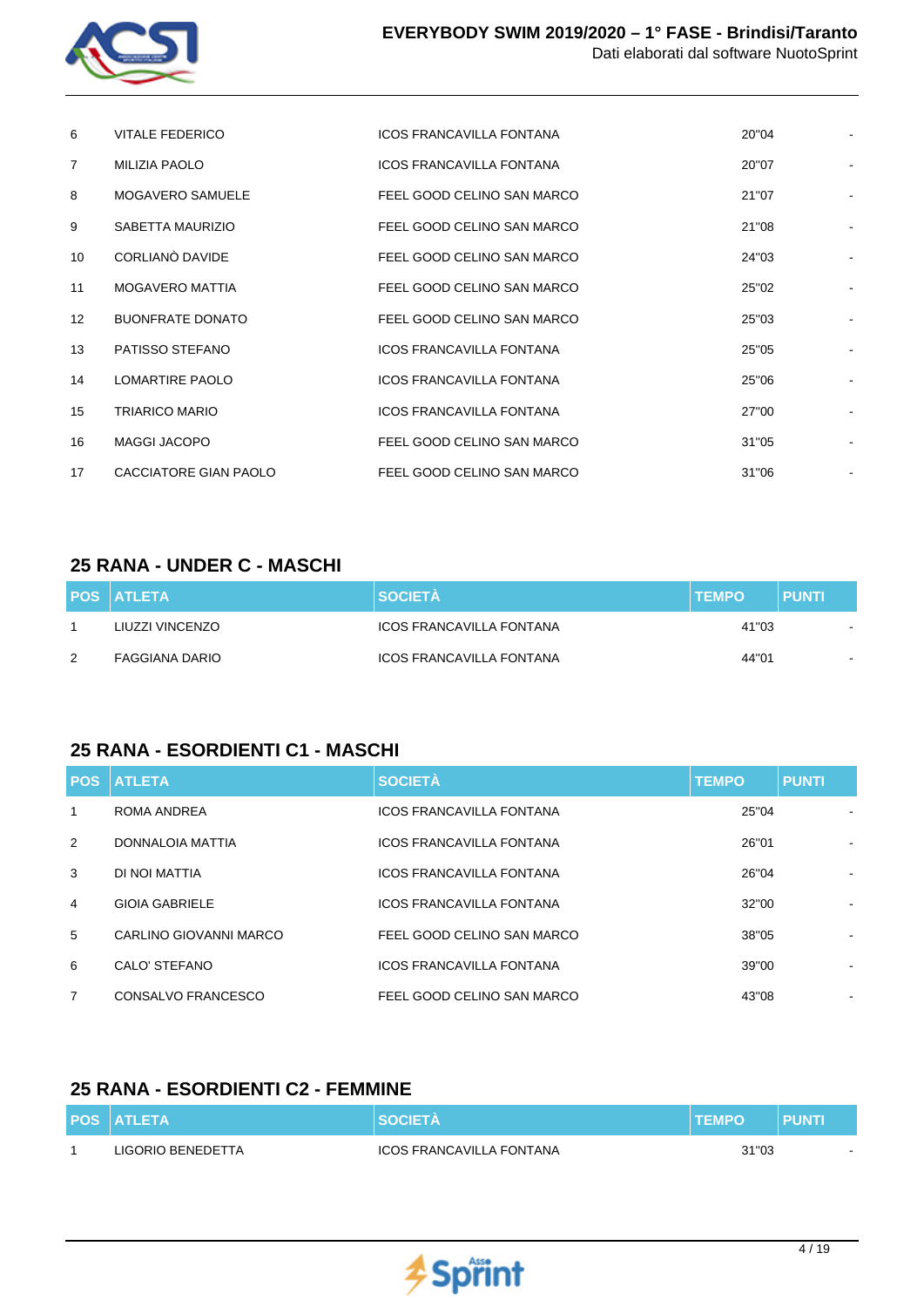

| 6                 | VITALE FEDERICO         | <b>ICOS FRANCAVILLA FONTANA</b> | 20"04 |  |
|-------------------|-------------------------|---------------------------------|-------|--|
| $\overline{7}$    | MILIZIA PAOLO           | <b>ICOS FRANCAVILLA FONTANA</b> | 20"07 |  |
| 8                 | <b>MOGAVERO SAMUELE</b> | FEEL GOOD CELINO SAN MARCO      | 21"07 |  |
| 9                 | SABETTA MAURIZIO        | FEEL GOOD CELINO SAN MARCO      | 21"08 |  |
| 10                | CORLIANO DAVIDE         | FEEL GOOD CELINO SAN MARCO      | 24"03 |  |
| 11                | <b>MOGAVERO MATTIA</b>  | FEEL GOOD CELINO SAN MARCO      | 25"02 |  |
| $12 \overline{ }$ | <b>BUONFRATE DONATO</b> | FEEL GOOD CELINO SAN MARCO      | 25"03 |  |
| 13                | PATISSO STEFANO         | <b>ICOS FRANCAVILLA FONTANA</b> | 25"05 |  |
| 14                | <b>LOMARTIRE PAOLO</b>  | <b>ICOS FRANCAVILLA FONTANA</b> | 25"06 |  |
| 15                | <b>TRIARICO MARIO</b>   | <b>ICOS FRANCAVILLA FONTANA</b> | 27"00 |  |
| 16                | <b>MAGGI JACOPO</b>     | FEEL GOOD CELINO SAN MARCO      | 31"05 |  |
| 17                | CACCIATORE GIAN PAOLO   | FEEL GOOD CELINO SAN MARCO      | 31"06 |  |

#### **25 RANA - UNDER C - MASCHI**

|               | <b>POS ATLETA</b> | <b>SOCIETÀ</b>           | <b>TEMPO</b> | <b>PUNTI</b> |
|---------------|-------------------|--------------------------|--------------|--------------|
|               | LIUZZI VINCENZO   | ICOS FRANCAVILLA FONTANA | 41"03        |              |
| $\mathcal{P}$ | FAGGIANA DARIO    | ICOS FRANCAVILLA FONTANA | 44"01        |              |

# **25 RANA - ESORDIENTI C1 - MASCHI**

|                | <b>POS ATLETA</b>      | <b>SOCIETÀ</b>                  | <b>TEMPO</b> | <b>PUNTI</b> |
|----------------|------------------------|---------------------------------|--------------|--------------|
| 1              | ROMA ANDREA            | <b>ICOS FRANCAVILLA FONTANA</b> | 25"04        |              |
| 2              | DONNALOIA MATTIA       | <b>ICOS FRANCAVILLA FONTANA</b> | 26"01        |              |
| 3              | DI NOI MATTIA          | <b>ICOS FRANCAVILLA FONTANA</b> | 26"04        |              |
| $\overline{4}$ | <b>GIOIA GABRIELE</b>  | <b>ICOS FRANCAVILLA FONTANA</b> | 32"00        | ۰            |
| 5              | CARLINO GIOVANNI MARCO | FEEL GOOD CELINO SAN MARCO      | 38"05        |              |
| 6              | CALO' STEFANO          | <b>ICOS FRANCAVILLA FONTANA</b> | 39"00        |              |
| $\overline{7}$ | CONSALVO FRANCESCO     | FEEL GOOD CELINO SAN MARCO      | 43"08        |              |

### **25 RANA - ESORDIENTI C2 - FEMMINE**

| <b>POS ATLETA</b> | <b>SOCIETA</b>           | <b>ITEMPO</b> | <b>PUNT</b> |
|-------------------|--------------------------|---------------|-------------|
| LIGORIO BENEDETTA | ICOS FRANCAVILLA FONTANA | 31"03         |             |

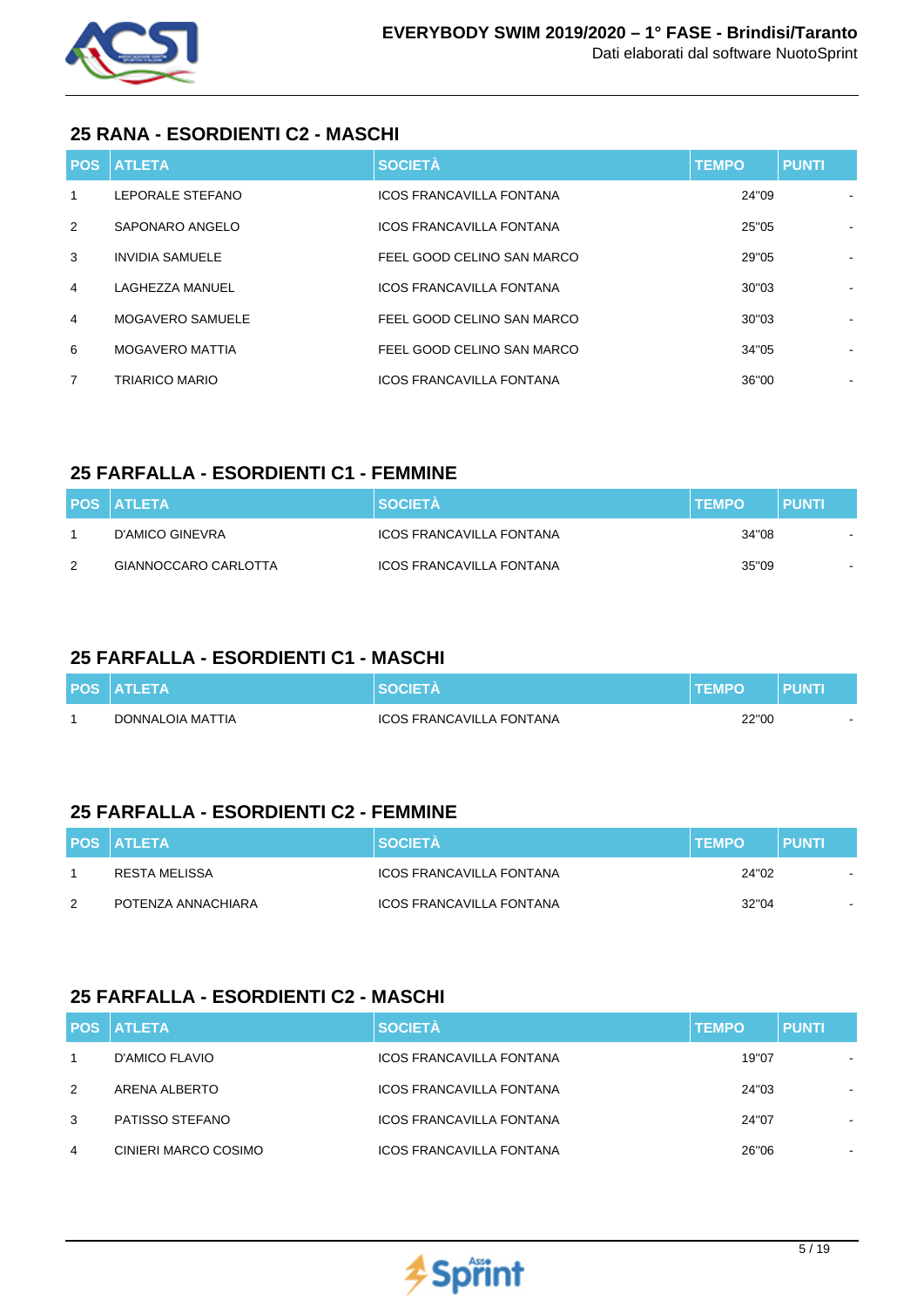

### **25 RANA - ESORDIENTI C2 - MASCHI**

| <b>POS</b>     | <b>ATLETA</b>          | <b>SOCIETÀ</b>                  | <b>TEMPO</b> | <b>PUNTI</b> |
|----------------|------------------------|---------------------------------|--------------|--------------|
| 1              | LEPORALE STEFANO       | <b>ICOS FRANCAVILLA FONTANA</b> | 24"09        |              |
| 2              | SAPONARO ANGELO        | <b>ICOS FRANCAVILLA FONTANA</b> | 25"05        |              |
| 3              | <b>INVIDIA SAMUELE</b> | FEEL GOOD CELINO SAN MARCO      | 29"05        | ۰            |
| 4              | LAGHEZZA MANUEL        | <b>ICOS FRANCAVILLA FONTANA</b> | 30"03        |              |
| 4              | MOGAVERO SAMUELE       | FEEL GOOD CELINO SAN MARCO      | 30"03        |              |
| 6              | <b>MOGAVERO MATTIA</b> | FEEL GOOD CELINO SAN MARCO      | 34"05        |              |
| $\overline{7}$ | <b>TRIARICO MARIO</b>  | <b>ICOS FRANCAVILLA FONTANA</b> | 36"00        |              |

# **25 FARFALLA - ESORDIENTI C1 - FEMMINE**

|   | <b>POS ATLETA</b>    | <b>SOCIETÀ</b>           | <b>TEMPO</b> | PUNTI |
|---|----------------------|--------------------------|--------------|-------|
|   | D'AMICO GINEVRA      | ICOS FRANCAVILLA FONTANA | 34"08        |       |
| 2 | GIANNOCCARO CARLOTTA | ICOS FRANCAVILLA FONTANA | 35"09        |       |

# **25 FARFALLA - ESORDIENTI C1 - MASCHI**

| <b>POS ATLETA</b> |                                 |       | PUNTI |
|-------------------|---------------------------------|-------|-------|
| DONNALOIA MATTIA  | <b>ICOS FRANCAVILLA FONTANA</b> | 22"00 |       |

# **25 FARFALLA - ESORDIENTI C2 - FEMMINE**

|               | <b>POS ATLETA</b>  | <b>SOCIETA</b>           | <b>TEMPO</b> | <b>PUNTI</b> |
|---------------|--------------------|--------------------------|--------------|--------------|
|               | RESTA MELISSA      | ICOS FRANCAVILLA FONTANA | 24"02        |              |
| $\mathcal{P}$ | POTENZA ANNACHIARA | ICOS FRANCAVILLA FONTANA | 32"04        |              |

# **25 FARFALLA - ESORDIENTI C2 - MASCHI**

|   | <b>POS ATLETA</b>    | <b>SOCIETÀ</b>                  | <b>TEMPO</b> | <b>PUNTI</b> |
|---|----------------------|---------------------------------|--------------|--------------|
|   | D'AMICO FLAVIO       | <b>ICOS FRANCAVILLA FONTANA</b> | 19"07        | ۰.           |
| 2 | ARENA ALBERTO        | <b>ICOS FRANCAVILLA FONTANA</b> | 24"03        | ۰.           |
| 3 | PATISSO STEFANO      | <b>ICOS FRANCAVILLA FONTANA</b> | 24"07        |              |
| 4 | CINIERI MARCO COSIMO | <b>ICOS FRANCAVILLA FONTANA</b> | 26"06        |              |

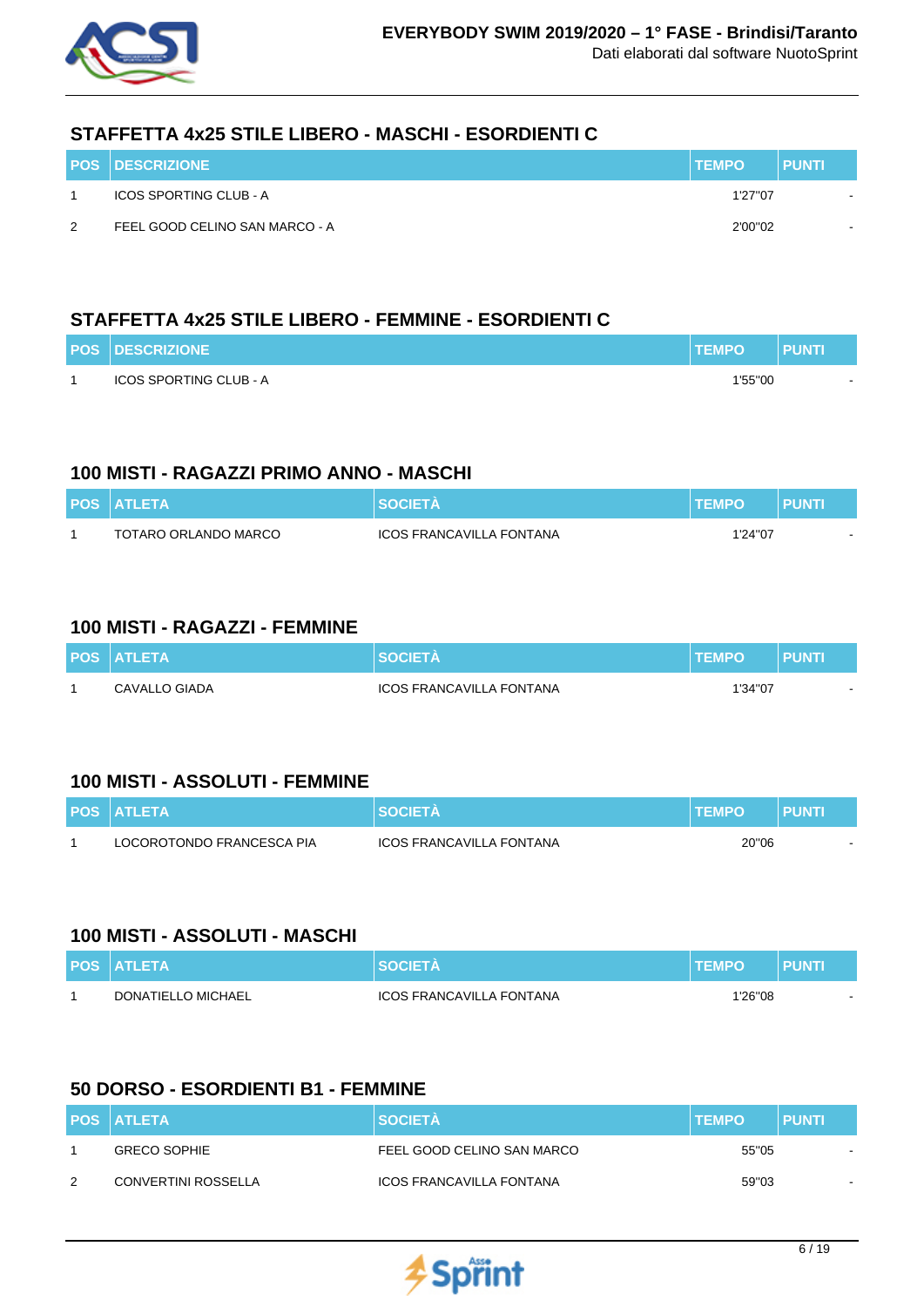

### **STAFFETTA 4x25 STILE LIBERO - MASCHI - ESORDIENTI C**

|               | <b>POS DESCRIZIONE</b>         | <b>TEMPO</b> | <b>PUNTI</b>             |
|---------------|--------------------------------|--------------|--------------------------|
|               | ICOS SPORTING CLUB - A         | 1'27"07      | $\sim$                   |
| $\mathcal{P}$ | FEEL GOOD CELINO SAN MARCO - A | 2'00"02      | $\overline{\phantom{a}}$ |

# **STAFFETTA 4x25 STILE LIBERO - FEMMINE - ESORDIENTI C**

| <b>POS DESCRIZIONE</b>        | <b>TEMPO</b> | <b>PUNTI</b> |
|-------------------------------|--------------|--------------|
| <b>ICOS SPORTING CLUB - A</b> | 1'55"00      |              |

### **100 MISTI - RAGAZZI PRIMO ANNO - MASCHI**

| <b>POS ATLETA</b>    | SOCIFTA                  | <b>TEMPO</b> | <b>PUNTK</b> |
|----------------------|--------------------------|--------------|--------------|
| TOTARO ORLANDO MARCO | ICOS FRANCAVILLA FONTANA | 1'24"07      |              |

### **100 MISTI - RAGAZZI - FEMMINE**

| <b>POS ATLETA</b> | <b>SOCIETA</b>                  | <b>TEMPO</b> | <b>PUNTI</b> |
|-------------------|---------------------------------|--------------|--------------|
| CAVALLO GIADA     | <b>ICOS FRANCAVILLA FONTANA</b> | 1'34"07      |              |

### **100 MISTI - ASSOLUTI - FEMMINE**

| <b>POS ATLETA</b>         | <b>SOCIETA</b>           | <b>I TEMPO</b> | PUNTI |
|---------------------------|--------------------------|----------------|-------|
| LOCOROTONDO FRANCESCA PIA | ICOS FRANCAVILLA FONTANA | 20"06          | . .   |

#### **100 MISTI - ASSOLUTI - MASCHI**

| <b>POS ATLETA</b>  | <b>SOCIETA</b>           | <b>TEMPO</b> | <b>PUNTI</b> |
|--------------------|--------------------------|--------------|--------------|
| DONATIELLO MICHAEL | ICOS FRANCAVILLA FONTANA | 1'26"08      |              |

### **50 DORSO - ESORDIENTI B1 - FEMMINE**

|   | <b>POS ATLETA</b>          | <b>SOCIETA</b>                  | <b>TEMPO</b> | <b>PUNTI</b> |
|---|----------------------------|---------------------------------|--------------|--------------|
|   | <b>GRECO SOPHIE</b>        | FEEL GOOD CELINO SAN MARCO      | 55"05        |              |
| 2 | <b>CONVERTINI ROSSELLA</b> | <b>ICOS FRANCAVILLA FONTANA</b> | 59"03        |              |

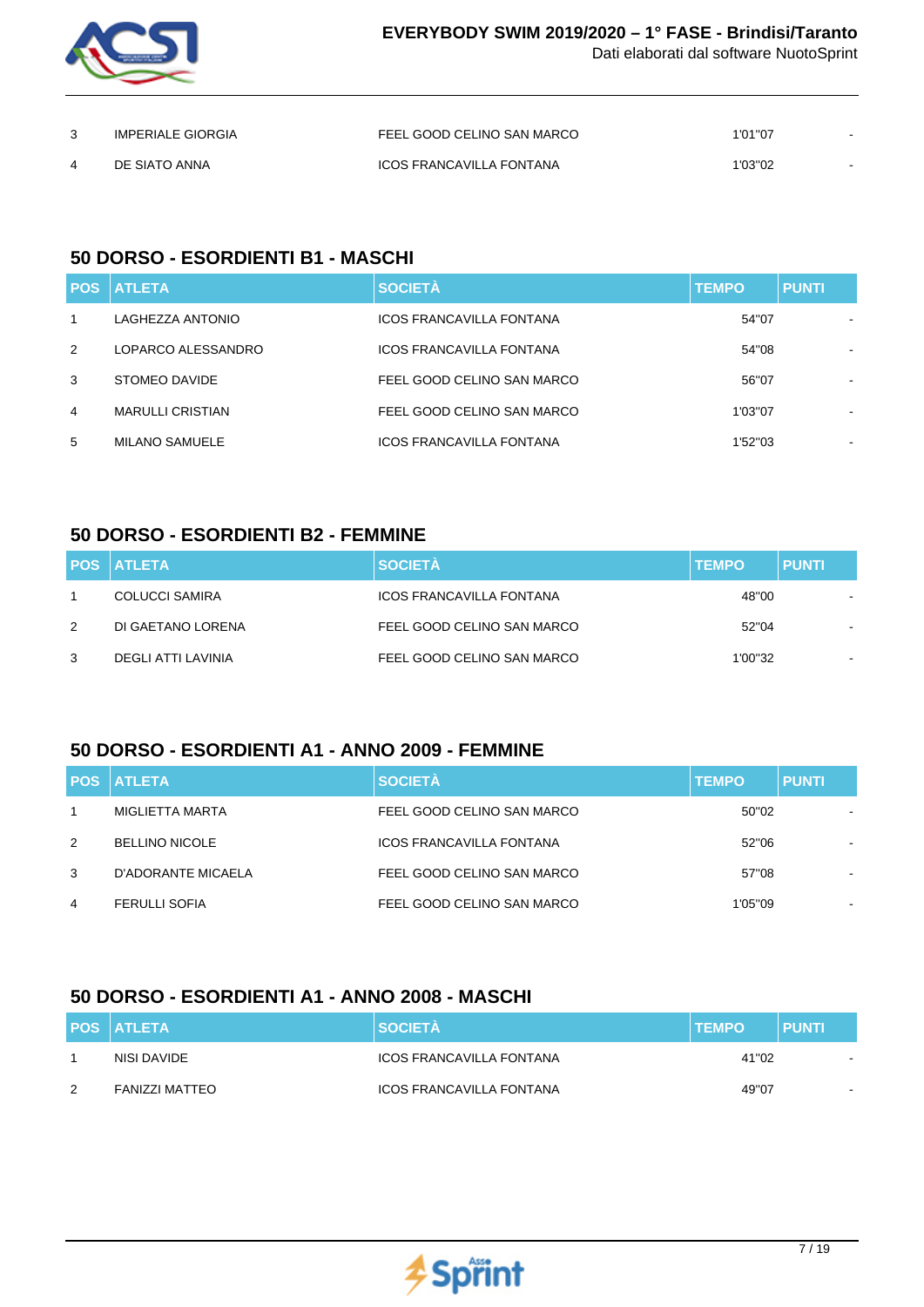

| <b>IMPERIALE GIORGIA</b> | FEEL GOOD CELINO SAN MARCO | 1'01"07 |  |
|--------------------------|----------------------------|---------|--|
| DE SIATO ANNA            | ICOS FRANCAVILLA FONTANA   | 1'03"02 |  |

### **50 DORSO - ESORDIENTI B1 - MASCHI**

| <b>POS</b> | <b>I ATLETA</b>         | <b>SOCIETÀ</b>                  | <b>TEMPO</b> | <b>PUNTI</b> |
|------------|-------------------------|---------------------------------|--------------|--------------|
| 1          | LAGHEZZA ANTONIO        | <b>ICOS FRANCAVILLA FONTANA</b> | 54"07        |              |
| 2          | LOPARCO ALESSANDRO      | <b>ICOS FRANCAVILLA FONTANA</b> | 54"08        |              |
| 3          | STOMEO DAVIDE           | FEEL GOOD CELINO SAN MARCO      | 56"07        | ۰            |
| 4          | <b>MARULLI CRISTIAN</b> | FEEL GOOD CELINO SAN MARCO      | 1'03"07      |              |
| 5          | <b>MILANO SAMUELE</b>   | <b>ICOS FRANCAVILLA FONTANA</b> | 1'52"03      | $\,$         |

### **50 DORSO - ESORDIENTI B2 - FEMMINE**

|               | <b>POS ATLETA</b>  | <b>SOCIETÀ</b>                  | <b>TEMPO</b> | <b>PUNTI</b> |
|---------------|--------------------|---------------------------------|--------------|--------------|
|               | COLUCCI SAMIRA     | <b>ICOS FRANCAVILLA FONTANA</b> | 48"00        |              |
| $\mathcal{P}$ | DI GAETANO LORENA  | FEEL GOOD CELINO SAN MARCO      | 52"04        |              |
| 3             | DEGLI ATTI LAVINIA | FEEL GOOD CELINO SAN MARCO      | 1'00"32      |              |

# **50 DORSO - ESORDIENTI A1 - ANNO 2009 - FEMMINE**

|   | <b>POS ATLETA</b>     | <b>SOCIETÀ</b>                  | <b>TEMPO</b> | <b>PUNTI</b>   |
|---|-----------------------|---------------------------------|--------------|----------------|
|   | MIGLIETTA MARTA       | FEEL GOOD CELINO SAN MARCO      | 50"02        |                |
| 2 | <b>BELLINO NICOLE</b> | <b>ICOS FRANCAVILLA FONTANA</b> | 52"06        |                |
| 3 | D'ADORANTE MICAELA    | FEEL GOOD CELINO SAN MARCO      | 57"08        | $\blacksquare$ |
| 4 | <b>FERULLI SOFIA</b>  | FEEL GOOD CELINO SAN MARCO      | 1'05"09      | $\blacksquare$ |

# **50 DORSO - ESORDIENTI A1 - ANNO 2008 - MASCHI**

|               | <b>POS ATLETA</b>     | <b>SOCIETÀ</b>                  | <b>TEMPO</b> | <b>PUNTI</b>             |
|---------------|-----------------------|---------------------------------|--------------|--------------------------|
|               | NISI DAVIDE           | ICOS FRANCAVILLA FONTANA        | 41"02        | $\overline{\phantom{a}}$ |
| $\mathcal{P}$ | <b>FANIZZI MATTEO</b> | <b>ICOS FRANCAVILLA FONTANA</b> | 49"07        |                          |

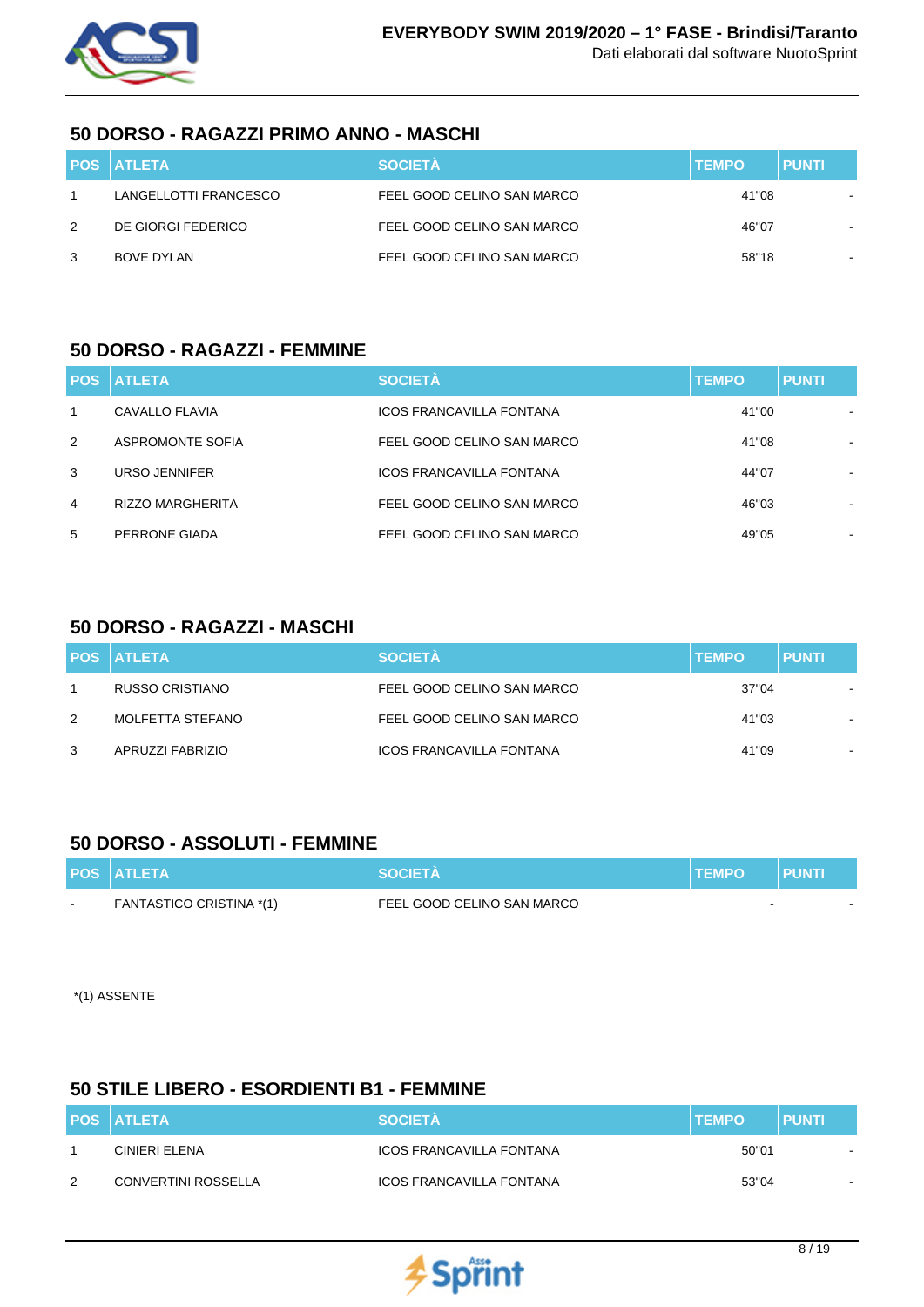

### **50 DORSO - RAGAZZI PRIMO ANNO - MASCHI**

|   | <b>POS ATLETA</b>     | <b>SOCIETÀ</b>             | <b>TEMPO</b> | <b>PUNTI</b> |
|---|-----------------------|----------------------------|--------------|--------------|
|   | LANGELLOTTI FRANCESCO | FEEL GOOD CELINO SAN MARCO | 41"08        |              |
| 2 | DE GIORGI FEDERICO    | FEEL GOOD CELINO SAN MARCO | 46"07        |              |
| 3 | BOVE DYLAN            | FEEL GOOD CELINO SAN MARCO | 58"18        |              |

#### **50 DORSO - RAGAZZI - FEMMINE**

|   | <b>POS ATLETA</b>       | <b>SOCIETÀ</b>                  | <b>TEMPO</b> | <b>PUNTI</b>             |
|---|-------------------------|---------------------------------|--------------|--------------------------|
| 1 | CAVALLO FLAVIA          | <b>ICOS FRANCAVILLA FONTANA</b> | 41"00        | ۰.                       |
| 2 | ASPROMONTE SOFIA        | FEEL GOOD CELINO SAN MARCO      | 41"08        |                          |
| 3 | URSO JENNIFER           | <b>ICOS FRANCAVILLA FONTANA</b> | 44"07        | $\overline{\phantom{a}}$ |
| 4 | <b>RIZZO MARGHERITA</b> | FEEL GOOD CELINO SAN MARCO      | 46"03        | ۰.                       |
| 5 | PERRONE GIADA           | FEEL GOOD CELINO SAN MARCO      | 49"05        | ۰                        |

### **50 DORSO - RAGAZZI - MASCHI**

|   | <b>POS ATLETA</b> | <b>SOCIETÀ</b>             | <b>TEMPO</b> | <b>PUNTI</b>   |
|---|-------------------|----------------------------|--------------|----------------|
|   | RUSSO CRISTIANO   | FEEL GOOD CELINO SAN MARCO | 37"04        |                |
| 2 | MOLFETTA STEFANO  | FEEL GOOD CELINO SAN MARCO | 41"03        |                |
| 3 | APRUZZI FABRIZIO  | ICOS FRANCAVILLA FONTANA   | 41"09        | $\blacksquare$ |

### **50 DORSO - ASSOLUTI - FEMMINE**

|        | <b>POS ATLETA</b>        | <b>SOCIETA</b>             | <b>TEMPO</b> | <b>PUNTI</b> |  |
|--------|--------------------------|----------------------------|--------------|--------------|--|
| $\sim$ | FANTASTICO CRISTINA *(1) | FEEL GOOD CELINO SAN MARCO |              |              |  |

\*(1) ASSENTE

### **50 STILE LIBERO - ESORDIENTI B1 - FEMMINE**

|               | <b>POS ATLETA</b>          | <b>SOCIETA</b>           | <b>TEMPO</b> | <b>PUNTI</b> |
|---------------|----------------------------|--------------------------|--------------|--------------|
|               | CINIERI ELENA              | ICOS FRANCAVILLA FONTANA | 50"01        | $\sim$       |
| $\mathcal{D}$ | <b>CONVERTINI ROSSELLA</b> | ICOS FRANCAVILLA FONTANA | 53"04        | $\sim$       |

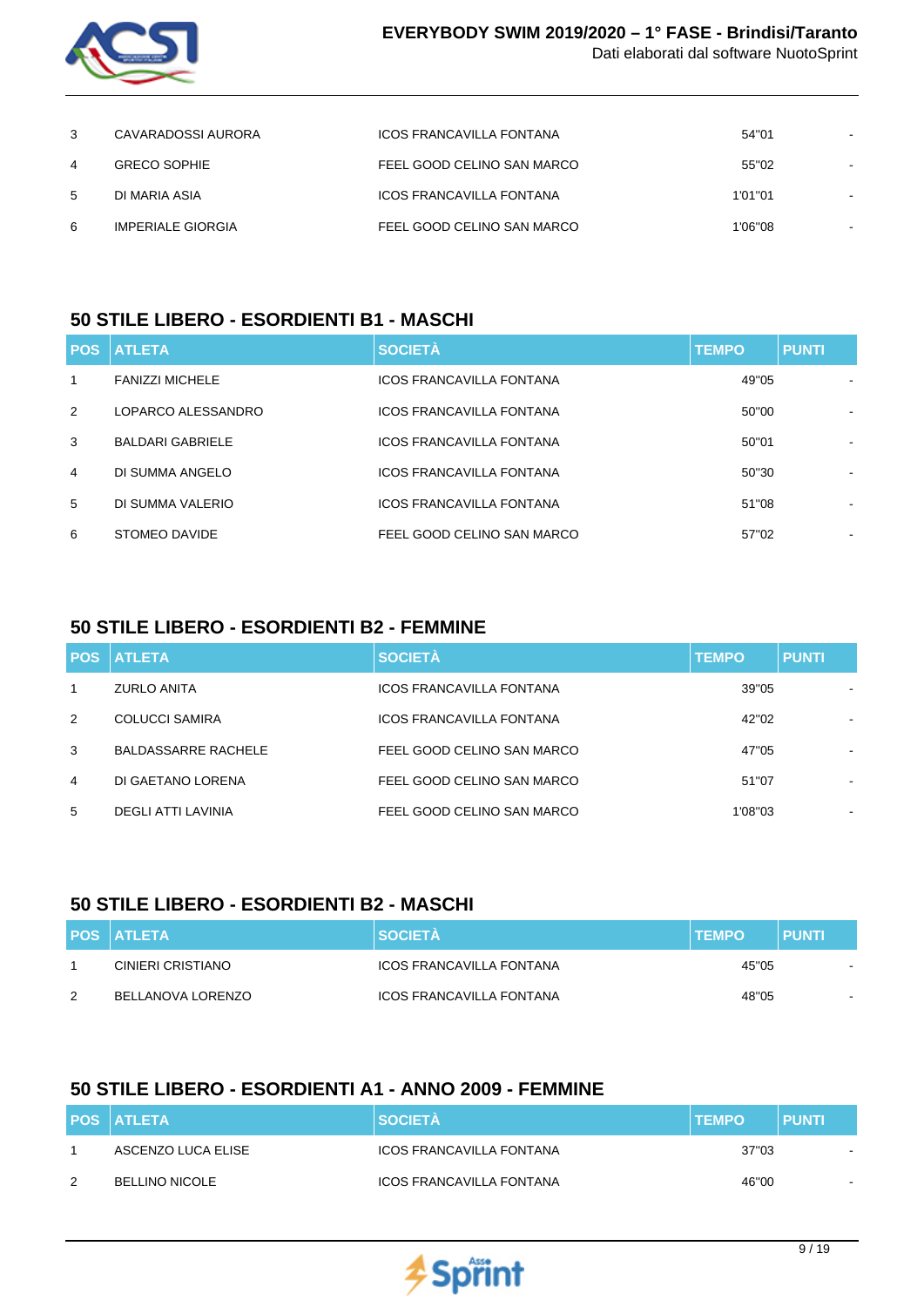

| 3 | CAVARADOSSI AURORA  | ICOS FRANCAVILLA FONTANA   | 54"01   |  |
|---|---------------------|----------------------------|---------|--|
| 4 | <b>GRECO SOPHIE</b> | FEEL GOOD CELINO SAN MARCO | 55"02   |  |
| 5 | DI MARIA ASIA       | ICOS FRANCAVILLA FONTANA   | 1'01"01 |  |
| 6 | IMPERIALE GIORGIA   | FEEL GOOD CELINO SAN MARCO | 1'06"08 |  |

### **50 STILE LIBERO - ESORDIENTI B1 - MASCHI**

|                | <b>POS ATLETA</b>       | <b>SOCIETÀ</b>                  | <b>TEMPO</b> | <b>PUNTI</b> |
|----------------|-------------------------|---------------------------------|--------------|--------------|
| 1              | <b>FANIZZI MICHELE</b>  | <b>ICOS FRANCAVILLA FONTANA</b> | 49"05        |              |
| 2              | LOPARCO ALESSANDRO      | <b>ICOS FRANCAVILLA FONTANA</b> | 50"00        | ۰            |
| 3              | <b>BALDARI GABRIELE</b> | <b>ICOS FRANCAVILLA FONTANA</b> | 50"01        |              |
| $\overline{4}$ | DI SUMMA ANGELO         | <b>ICOS FRANCAVILLA FONTANA</b> | 50"30        |              |
| 5              | DI SUMMA VALERIO        | <b>ICOS FRANCAVILLA FONTANA</b> | 51"08        | ۰            |
| 6              | STOMEO DAVIDE           | FEEL GOOD CELINO SAN MARCO      | 57"02        | ۰            |

### **50 STILE LIBERO - ESORDIENTI B2 - FEMMINE**

|              | <b>POS ATLETA</b>          | <b>SOCIETÀ</b>                  | <b>TEMPO</b> | <b>PUNTI</b> |
|--------------|----------------------------|---------------------------------|--------------|--------------|
| $\mathbf{1}$ | <b>ZURLO ANITA</b>         | <b>ICOS FRANCAVILLA FONTANA</b> | 39"05        |              |
| 2            | <b>COLUCCI SAMIRA</b>      | <b>ICOS FRANCAVILLA FONTANA</b> | 42"02        |              |
| 3            | <b>BALDASSARRE RACHELE</b> | FEEL GOOD CELINO SAN MARCO      | 47"05        |              |
| 4            | DI GAETANO LORENA          | FEEL GOOD CELINO SAN MARCO      | 51"07        | ۰            |
| 5            | DEGLI ATTI LAVINIA         | FEEL GOOD CELINO SAN MARCO      | 1'08"03      | $\,$         |

### **50 STILE LIBERO - ESORDIENTI B2 - MASCHI**

|               | <b>POS ATLETA</b> | <b>SOCIETA</b>           | <b>TEMPO</b> | <b>PUNTI</b> |
|---------------|-------------------|--------------------------|--------------|--------------|
|               | CINIERI CRISTIANO | ICOS FRANCAVILLA FONTANA | 45"05        |              |
| $\mathcal{P}$ | BELLANOVA LORENZO | ICOS FRANCAVILLA FONTANA | 48"05        | -            |

### **50 STILE LIBERO - ESORDIENTI A1 - ANNO 2009 - FEMMINE**

|   | <b>POS ATLETA</b>     | <b>SOCIETA</b>           | <b>ITEMPO</b> | <b>PUNTI</b> |
|---|-----------------------|--------------------------|---------------|--------------|
|   | ASCENZO LUCA ELISE    | ICOS FRANCAVILLA FONTANA | 37"03         | $\sim$       |
| 2 | <b>BELLINO NICOLE</b> | ICOS FRANCAVILLA FONTANA | 46"00         | $\sim$       |

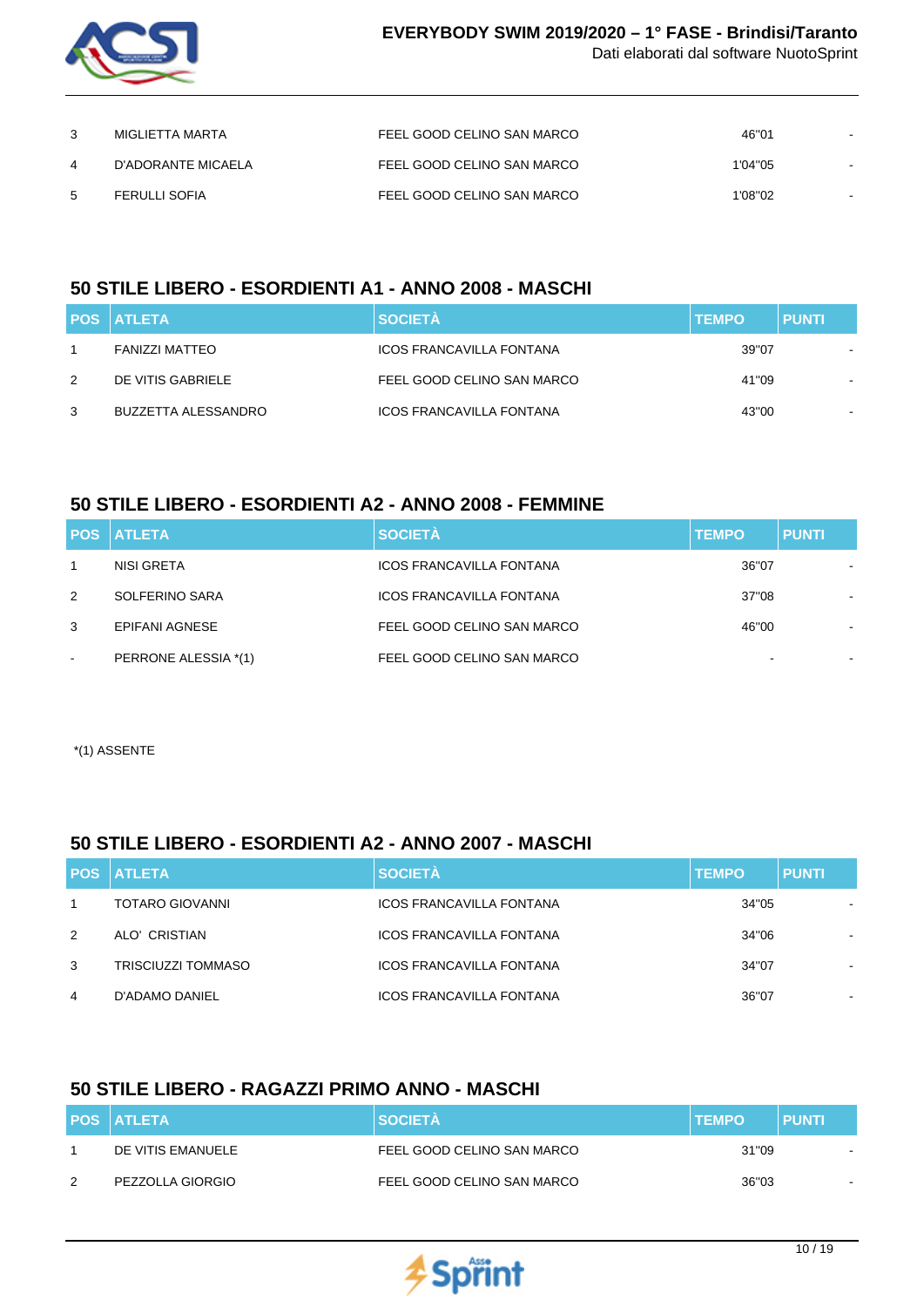

|   | MIGLIETTA MARTA      | FEEL GOOD CELINO SAN MARCO | 46"01   |  |
|---|----------------------|----------------------------|---------|--|
| 4 | D'ADORANTE MICAELA   | FEEL GOOD CELINO SAN MARCO | 1'04"05 |  |
| 5 | <b>FERULLI SOFIA</b> | FEEL GOOD CELINO SAN MARCO | 1'08"02 |  |

# **50 STILE LIBERO - ESORDIENTI A1 - ANNO 2008 - MASCHI**

|   | <b>POS ATLETA</b>   | <b>SOCIETÀ</b>                  | <b>TEMPO</b> | <b>PUNTI</b> |
|---|---------------------|---------------------------------|--------------|--------------|
|   | FANIZZI MATTEO      | ICOS FRANCAVILLA FONTANA        | 39"07        |              |
| 2 | DE VITIS GABRIELE   | FEEL GOOD CELINO SAN MARCO      | 41"09        | . .          |
| 3 | BUZZETTA ALESSANDRO | <b>ICOS FRANCAVILLA FONTANA</b> | 43"00        |              |

# **50 STILE LIBERO - ESORDIENTI A2 - ANNO 2008 - FEMMINE**

|                          | <b>POS ATLETA</b>    | <b>SOCIETÀ</b>                  | <b>TEMPO</b> | <b>PUNTI</b> |
|--------------------------|----------------------|---------------------------------|--------------|--------------|
|                          | NISI GRETA           | <b>ICOS FRANCAVILLA FONTANA</b> | 36"07        |              |
| 2                        | SOLFERINO SARA       | <b>ICOS FRANCAVILLA FONTANA</b> | 37"08        |              |
| 3                        | EPIFANI AGNESE       | FEEL GOOD CELINO SAN MARCO      | 46"00        |              |
| $\overline{\phantom{a}}$ | PERRONE ALESSIA *(1) | FEEL GOOD CELINO SAN MARCO      |              |              |

\*(1) ASSENTE

# **50 STILE LIBERO - ESORDIENTI A2 - ANNO 2007 - MASCHI**

|   | <b>POS ATLETA</b>      | <b>SOCIETÀ</b>                  | <b>TEMPO</b> | <b>PUNTI</b>             |
|---|------------------------|---------------------------------|--------------|--------------------------|
|   | <b>TOTARO GIOVANNI</b> | <b>ICOS FRANCAVILLA FONTANA</b> | 34"05        |                          |
| 2 | ALO' CRISTIAN          | <b>ICOS FRANCAVILLA FONTANA</b> | 34"06        |                          |
| 3 | TRISCIUZZI TOMMASO     | <b>ICOS FRANCAVILLA FONTANA</b> | 34"07        | ۰.                       |
| 4 | D'ADAMO DANIEL         | <b>ICOS FRANCAVILLA FONTANA</b> | 36"07        | $\overline{\phantom{a}}$ |

# **50 STILE LIBERO - RAGAZZI PRIMO ANNO - MASCHI**

|               | <b>POS ATLETA</b> | <b>SOCIETA</b>             | <b>ITEMPO</b> | <b>PUNTI</b>             |
|---------------|-------------------|----------------------------|---------------|--------------------------|
|               | DE VITIS EMANUELE | FEEL GOOD CELINO SAN MARCO | 31"09         |                          |
| $\mathcal{P}$ | PEZZOLLA GIORGIO  | FEEL GOOD CELINO SAN MARCO | 36"03         | $\overline{\phantom{a}}$ |

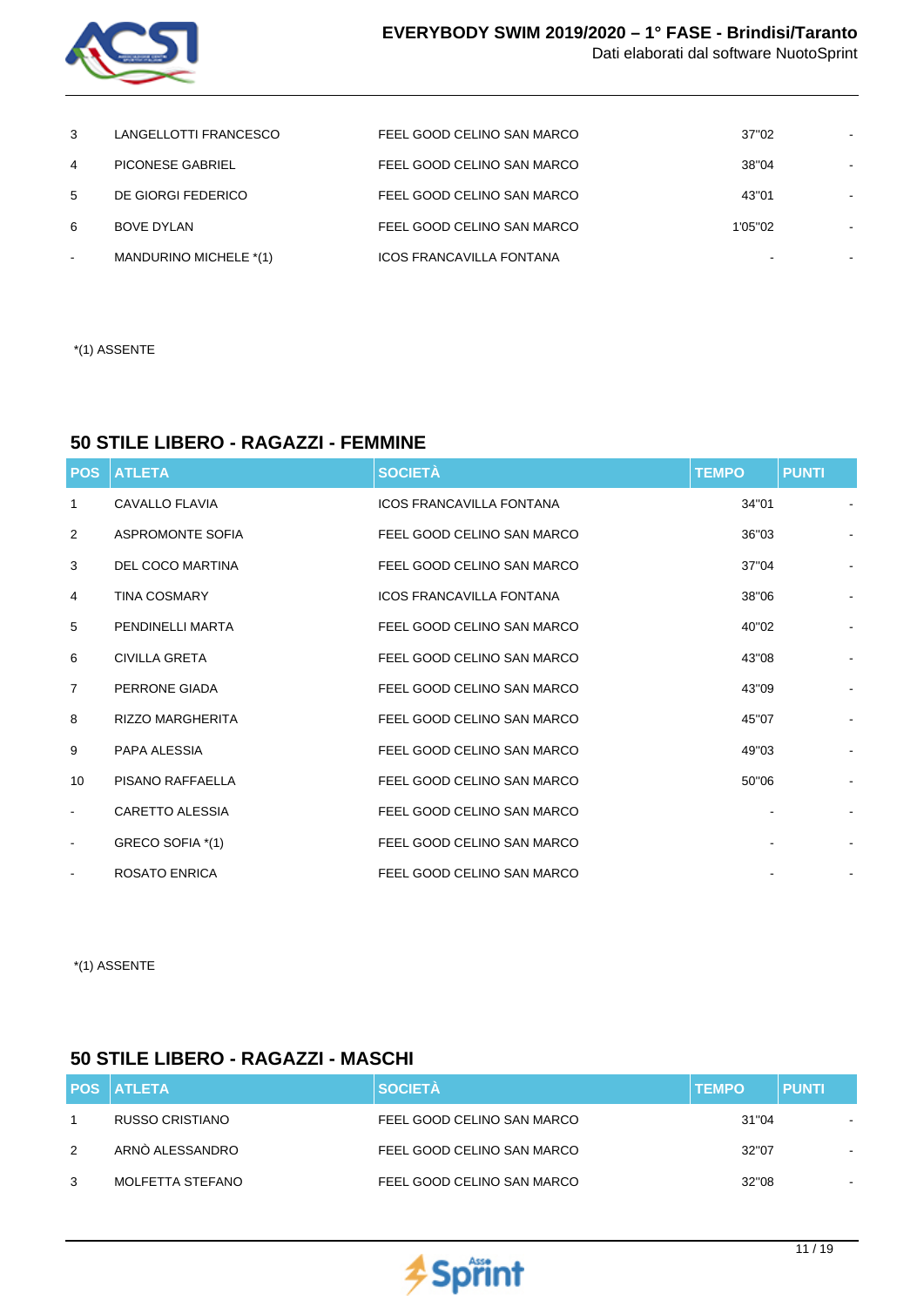

| 3      | LANGELLOTTI FRANCESCO  | FEEL GOOD CELINO SAN MARCO      | 37"02   |  |
|--------|------------------------|---------------------------------|---------|--|
| 4      | PICONESE GABRIEL       | FEEL GOOD CELINO SAN MARCO      | 38"04   |  |
| 5      | DE GIORGI FEDERICO     | FEEL GOOD CELINO SAN MARCO      | 43"01   |  |
| 6      | <b>BOVE DYLAN</b>      | FEEL GOOD CELINO SAN MARCO      | 1'05"02 |  |
| $\sim$ | MANDURINO MICHELE *(1) | <b>ICOS FRANCAVILLA FONTANA</b> |         |  |

\*(1) ASSENTE

#### **50 STILE LIBERO - RAGAZZI - FEMMINE**

| <b>POS</b>               | <b>ATLETA</b>           | <b>SOCIETÀ</b>                  | <b>TEMPO</b> | <b>PUNTI</b>   |
|--------------------------|-------------------------|---------------------------------|--------------|----------------|
| 1                        | CAVALLO FLAVIA          | <b>ICOS FRANCAVILLA FONTANA</b> | 34"01        |                |
| 2                        | ASPROMONTE SOFIA        | FEEL GOOD CELINO SAN MARCO      | 36"03        |                |
| 3                        | <b>DEL COCO MARTINA</b> | FEEL GOOD CELINO SAN MARCO      | 37"04        |                |
| 4                        | <b>TINA COSMARY</b>     | <b>ICOS FRANCAVILLA FONTANA</b> | 38"06        |                |
| 5                        | <b>PENDINELLI MARTA</b> | FEEL GOOD CELINO SAN MARCO      | 40"02        |                |
| 6                        | <b>CIVILLA GRETA</b>    | FEEL GOOD CELINO SAN MARCO      | 43"08        |                |
| 7                        | PERRONE GIADA           | FEEL GOOD CELINO SAN MARCO      | 43"09        |                |
| 8                        | <b>RIZZO MARGHERITA</b> | FEEL GOOD CELINO SAN MARCO      | 45"07        |                |
| 9                        | PAPA ALESSIA            | FEEL GOOD CELINO SAN MARCO      | 49"03        | $\blacksquare$ |
| 10                       | PISANO RAFFAELLA        | FEEL GOOD CELINO SAN MARCO      | 50"06        |                |
| $\blacksquare$           | <b>CARETTO ALESSIA</b>  | FEEL GOOD CELINO SAN MARCO      |              |                |
| $\overline{\phantom{a}}$ | GRECO SOFIA *(1)        | FEEL GOOD CELINO SAN MARCO      |              |                |
|                          | <b>ROSATO ENRICA</b>    | FEEL GOOD CELINO SAN MARCO      |              |                |

\*(1) ASSENTE

### **50 STILE LIBERO - RAGAZZI - MASCHI**

|               | <b>POS ATLETA</b> | <b>SOCIETÀ</b>             | <b>TEMPO</b> | <b>PUNTI</b>   |
|---------------|-------------------|----------------------------|--------------|----------------|
|               | RUSSO CRISTIANO   | FEEL GOOD CELINO SAN MARCO | 31"04        |                |
| $\mathcal{P}$ | ARNÓ ALESSANDRO   | FEEL GOOD CELINO SAN MARCO | 32"07        |                |
| 3             | MOLFETTA STEFANO  | FEEL GOOD CELINO SAN MARCO | 32"08        | $\blacksquare$ |

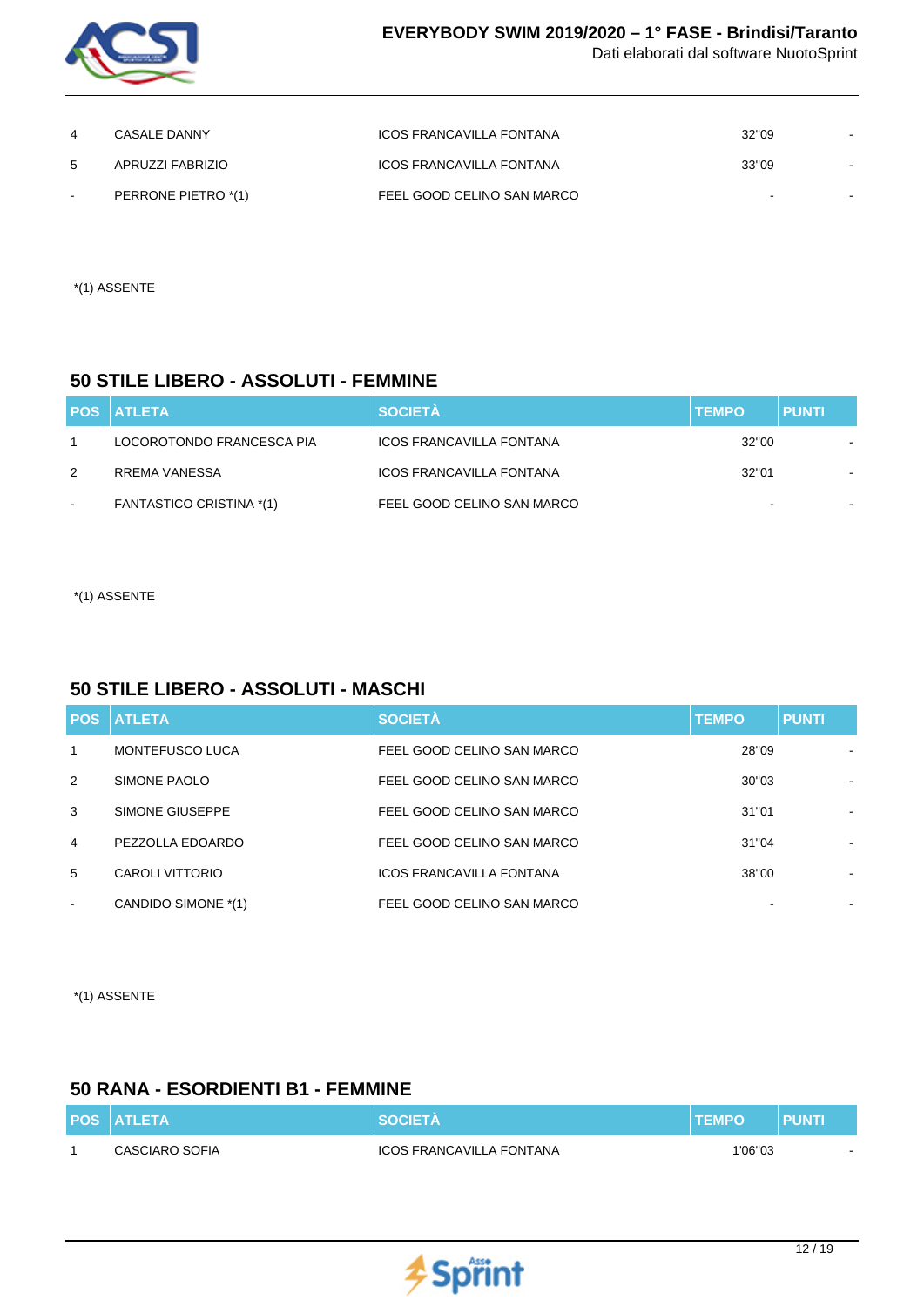

| 4      | CASALE DANNY        | ICOS FRANCAVILLA FONTANA   | 32"09 |  |
|--------|---------------------|----------------------------|-------|--|
| 5      | APRUZZI FABRIZIO    | ICOS FRANCAVILLA FONTANA   | 33"09 |  |
| $\sim$ | PERRONE PIETRO *(1) | FEEL GOOD CELINO SAN MARCO |       |  |

\*(1) ASSENTE

#### **50 STILE LIBERO - ASSOLUTI - FEMMINE**

|        | <b>POS ATLETA</b>               | <b>SOCIETÀ</b>             | <b>TEMPO</b> | <b>PUNTI</b> |  |
|--------|---------------------------------|----------------------------|--------------|--------------|--|
|        | LOCOROTONDO FRANCESCA PIA       | ICOS FRANCAVILLA FONTANA   | 32"00        |              |  |
| 2      | RREMA VANESSA                   | ICOS FRANCAVILLA FONTANA   | 32"01        |              |  |
| $\sim$ | <b>FANTASTICO CRISTINA *(1)</b> | FEEL GOOD CELINO SAN MARCO |              |              |  |

\*(1) ASSENTE

### **50 STILE LIBERO - ASSOLUTI - MASCHI**

|                          | <b>POS ATLETA</b>      | <b>SOCIETÀ</b>                  | <b>TEMPO</b> | <b>PUNTI</b> |
|--------------------------|------------------------|---------------------------------|--------------|--------------|
| $\mathbf{1}$             | <b>MONTEFUSCO LUCA</b> | FEEL GOOD CELINO SAN MARCO      | 28"09        |              |
| 2                        | SIMONE PAOLO           | FEEL GOOD CELINO SAN MARCO      | 30"03        |              |
| 3                        | SIMONE GIUSEPPE        | FEEL GOOD CELINO SAN MARCO      | 31"01        |              |
| $\overline{4}$           | PEZZOLLA EDOARDO       | FEEL GOOD CELINO SAN MARCO      | 31"04        |              |
| 5                        | CAROLI VITTORIO        | <b>ICOS FRANCAVILLA FONTANA</b> | 38"00        |              |
| $\overline{\phantom{a}}$ | CANDIDO SIMONE *(1)    | FEEL GOOD CELINO SAN MARCO      |              | ۰            |

\*(1) ASSENTE

### **50 RANA - ESORDIENTI B1 - FEMMINE**

| <b>POS ATLETA</b> | <b>SOCIETA</b>           | <b>TEMPO</b> | <b>PUNTI</b> |
|-------------------|--------------------------|--------------|--------------|
| CASCIARO SOFIA    | ICOS FRANCAVILLA FONTANA | 1'06"03      |              |

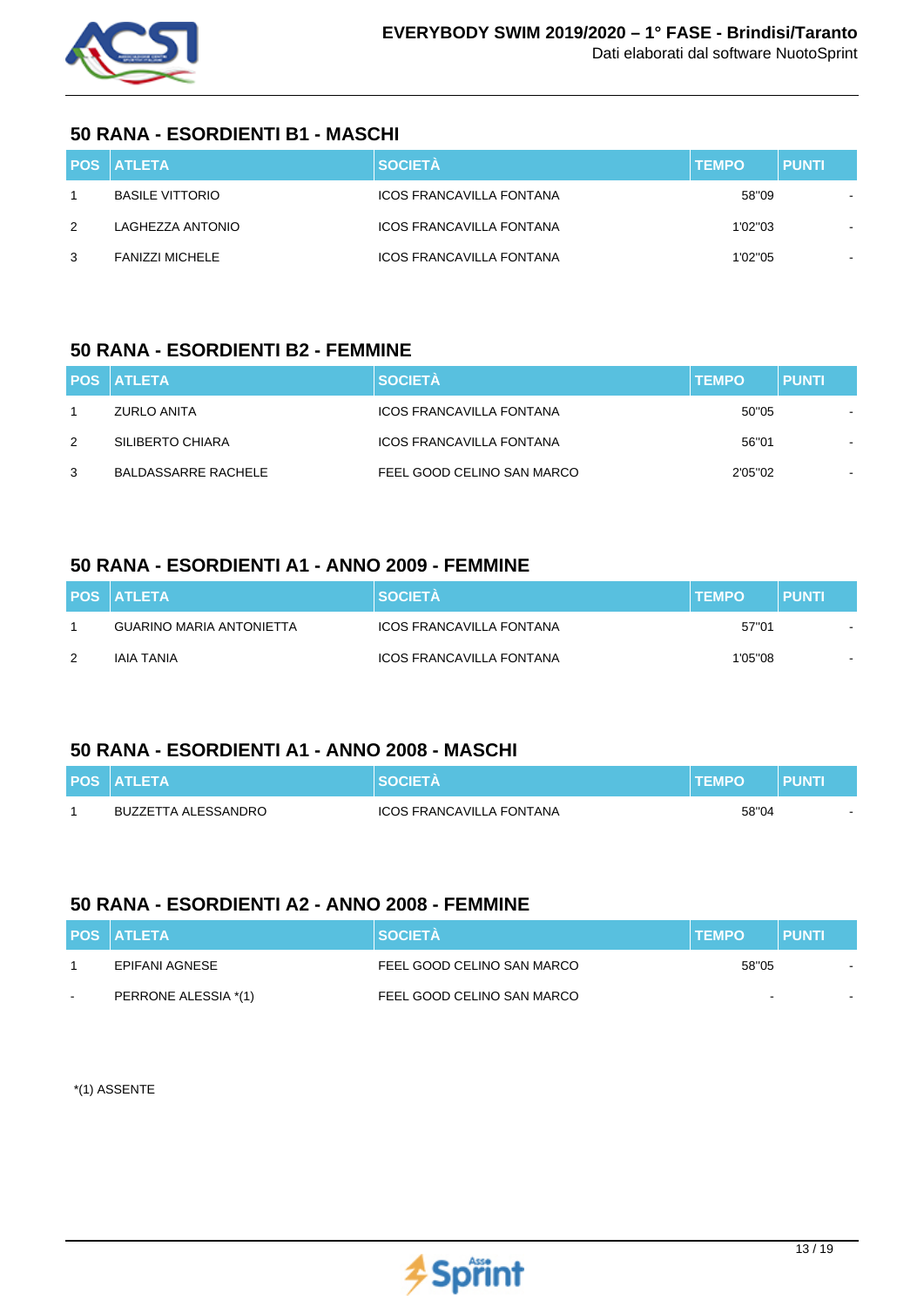

#### **50 RANA - ESORDIENTI B1 - MASCHI**

|   | <b>POS ATLETA</b>      | <b>SOCIETÀ</b>                  | <b>TEMPO</b> | <b>PUNTI</b> |
|---|------------------------|---------------------------------|--------------|--------------|
|   | <b>BASILE VITTORIO</b> | ICOS FRANCAVILLA FONTANA        | 58"09        |              |
| 2 | LAGHEZZA ANTONIO       | <b>ICOS FRANCAVILLA FONTANA</b> | 1'02"03      |              |
| 3 | <b>FANIZZI MICHELE</b> | <b>ICOS FRANCAVILLA FONTANA</b> | 1'02"05      |              |

#### **50 RANA - ESORDIENTI B2 - FEMMINE**

|   | <b>POS ATLETA</b>   | <b>SOCIETÀ</b>             | <b>TEMPO</b> | <b>PUNTI</b> |
|---|---------------------|----------------------------|--------------|--------------|
|   | ZURLO ANITA         | ICOS FRANCAVILLA FONTANA   | 50"05        |              |
| 2 | SILIBERTO CHIARA    | ICOS FRANCAVILLA FONTANA   | 56"01        |              |
| 3 | BALDASSARRE RACHELE | FEEL GOOD CELINO SAN MARCO | 2'05"02      |              |

### **50 RANA - ESORDIENTI A1 - ANNO 2009 - FEMMINE**

|   | <b>POS ATLETA</b>               | <b>SOCIETÀ</b>                  | <b>TEMPO</b> | <b>PUNTI</b> |
|---|---------------------------------|---------------------------------|--------------|--------------|
|   | <b>GUARINO MARIA ANTONIETTA</b> | ICOS FRANCAVILLA FONTANA        | 57"01        |              |
| 2 | IAIA TANIA                      | <b>ICOS FRANCAVILLA FONTANA</b> | 1'05"08      | $\sim$       |

### **50 RANA - ESORDIENTI A1 - ANNO 2008 - MASCHI**

| <b>POS ATLETA</b>   | <b>SOCIFTA</b>                  | <b>TEMPO</b> | <b>PUNTI</b> |
|---------------------|---------------------------------|--------------|--------------|
| BUZZETTA ALESSANDRO | <b>ICOS FRANCAVILLA FONTANA</b> | 58"04        | $\sim$       |

### **50 RANA - ESORDIENTI A2 - ANNO 2008 - FEMMINE**

|        | <b>POS ATLETA</b>    | <b>SOCIETA</b>             | <b>ITEMPO</b> | <b>PUNTI</b> |
|--------|----------------------|----------------------------|---------------|--------------|
|        | EPIFANI AGNESE       | FEEL GOOD CELINO SAN MARCO | 58"05         |              |
| $\sim$ | PERRONE ALESSIA *(1) | FEEL GOOD CELINO SAN MARCO | $\sim$        |              |

\*(1) ASSENTE

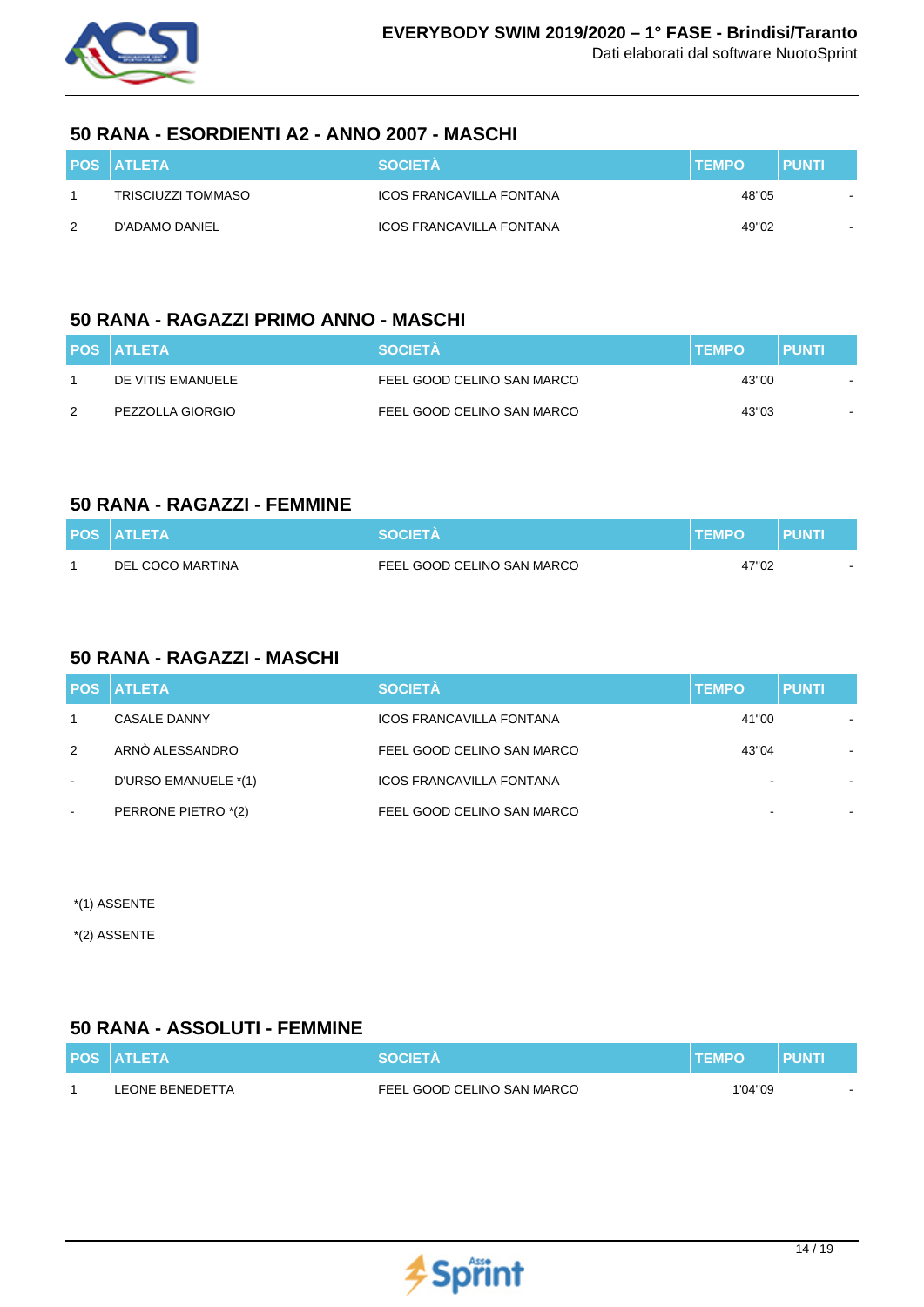

#### **50 RANA - ESORDIENTI A2 - ANNO 2007 - MASCHI**

|   | <b>POS ATLETA</b>  | <b>SOCIETA</b>                  | <b>ITEMPO</b> | <b>PUNTI</b> |
|---|--------------------|---------------------------------|---------------|--------------|
|   | TRISCIUZZI TOMMASO | <b>ICOS FRANCAVILLA FONTANA</b> | 48"05         | $\sim$       |
| 2 | D'ADAMO DANIEL     | <b>ICOS FRANCAVILLA FONTANA</b> | 49"02         |              |

### **50 RANA - RAGAZZI PRIMO ANNO - MASCHI**

|               | <b>POS ATLETA</b> | <b>SOCIETÀ</b>             | <b>TEMPO</b> | <b>PUNTI</b> |
|---------------|-------------------|----------------------------|--------------|--------------|
|               | DE VITIS EMANUELE | FEEL GOOD CELINO SAN MARCO | 43"00        |              |
| $\mathcal{P}$ | PEZZOLLA GIORGIO  | FEEL GOOD CELINO SAN MARCO | 43"03        |              |

### **50 RANA - RAGAZZI - FEMMINE**

| <b>POS ATLETA</b> | SOCIFT∆                    | <b>TEMPO</b> | PUNT |
|-------------------|----------------------------|--------------|------|
| DEL COCO MARTINA  | FEEL GOOD CELINO SAN MARCO | 47"02        |      |

# **50 RANA - RAGAZZI - MASCHI**

|        | <b>POS ATLETA</b>    | <b>SOCIETÀ</b>                  | <b>TEMPO</b> | <b>PUNTI</b> |  |
|--------|----------------------|---------------------------------|--------------|--------------|--|
|        | <b>CASALE DANNY</b>  | <b>ICOS FRANCAVILLA FONTANA</b> | 41"00        |              |  |
| 2      | ARNO ALESSANDRO      | FEEL GOOD CELINO SAN MARCO      | 43"04        |              |  |
| $\sim$ | D'URSO EMANUELE *(1) | <b>ICOS FRANCAVILLA FONTANA</b> |              |              |  |
| $\sim$ | PERRONE PIETRO *(2)  | FEEL GOOD CELINO SAN MARCO      |              |              |  |

\*(1) ASSENTE

\*(2) ASSENTE

### **50 RANA - ASSOLUTI - FEMMINE**

| <b>POS ATLETA</b>      | <b>SOCIETA</b>             | <b>TEMPO</b> | <b>PUNTI</b> |
|------------------------|----------------------------|--------------|--------------|
| <b>LEONE BENEDETTA</b> | FEEL GOOD CELINO SAN MARCO | 1'04"09      |              |

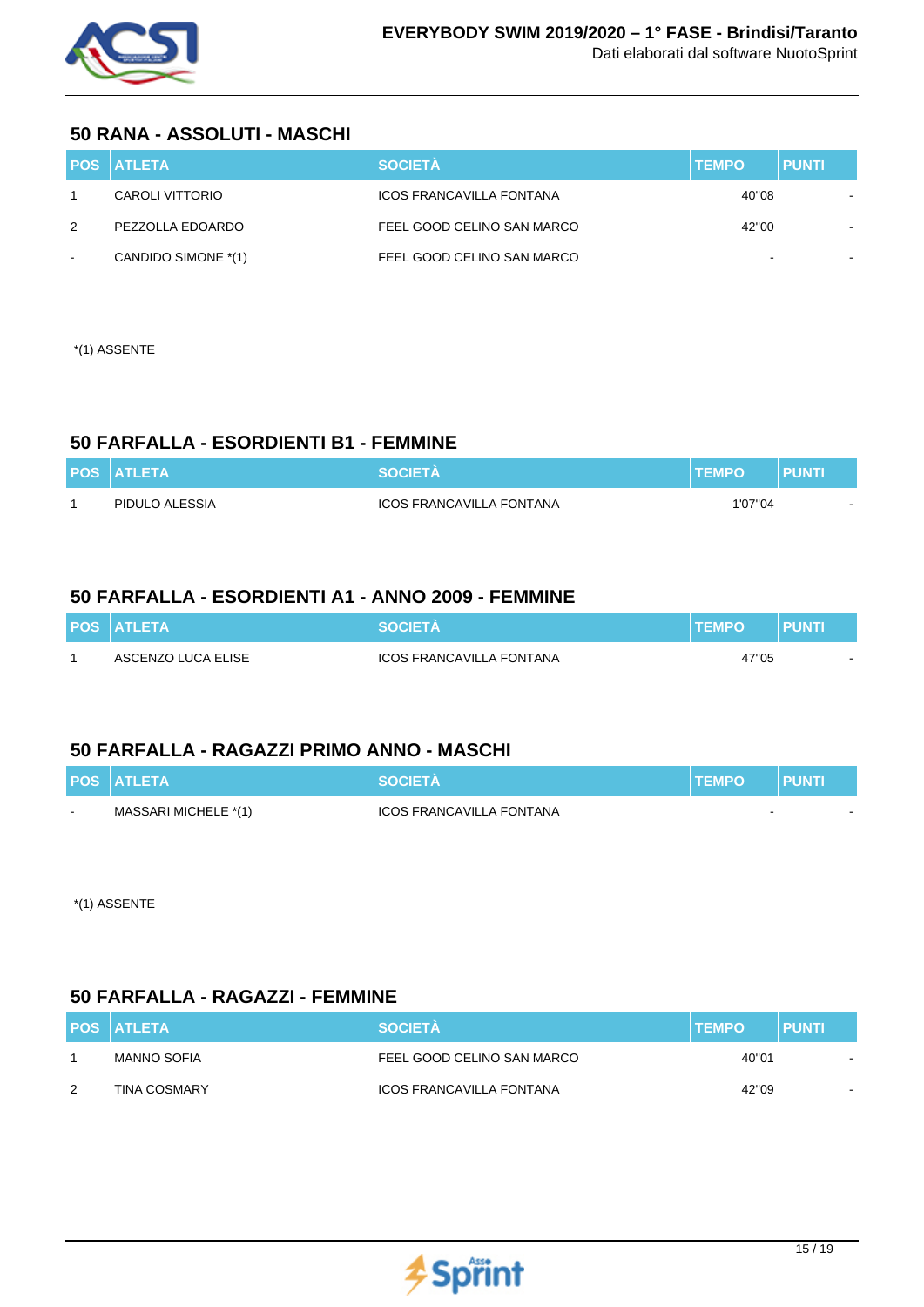

#### **50 RANA - ASSOLUTI - MASCHI**

|        | <b>POS ATLETA</b>   | <b>SOCIETÀ</b>                  | <b>TEMPO</b> | <b>PUNTI</b> |
|--------|---------------------|---------------------------------|--------------|--------------|
|        | CAROLI VITTORIO     | <b>ICOS FRANCAVILLA FONTANA</b> | 40"08        |              |
| 2      | PEZZOLLA EDOARDO    | FEEL GOOD CELINO SAN MARCO      | 42"00        |              |
| $\sim$ | CANDIDO SIMONE *(1) | FEEL GOOD CELINO SAN MARCO      |              | -            |

\*(1) ASSENTE

### **50 FARFALLA - ESORDIENTI B1 - FEMMINE**

| <b>POS ATLETA</b> | <b>SOCIETA</b>           | <b>TEMPO</b> | <b>PUNTI</b> |
|-------------------|--------------------------|--------------|--------------|
| PIDULO ALESSIA    | ICOS FRANCAVILLA FONTANA | 1'07"04      |              |

### **50 FARFALLA - ESORDIENTI A1 - ANNO 2009 - FEMMINE**

| <b>POS ATLETA</b>  | <b>SOCIETA</b>           | <b>TEMPO</b> | PUNTI |
|--------------------|--------------------------|--------------|-------|
| ASCENZO LUCA ELISE | ICOS FRANCAVILLA FONTANA | 47"05        |       |

### **50 FARFALLA - RAGAZZI PRIMO ANNO - MASCHI**

|        | <b>POS ATLETA</b>    | <b>SOCIFTA</b>           | <b>TEMPO</b> | <b>PUNTI</b> |  |
|--------|----------------------|--------------------------|--------------|--------------|--|
| $\sim$ | MASSARI MICHELE *(1) | ICOS FRANCAVILLA FONTANA |              |              |  |

\*(1) ASSENTE

### **50 FARFALLA - RAGAZZI - FEMMINE**

|               | <b>POS ATLETA</b>   | <b>SOCIETÀ</b>                  | <b>TEMPO</b> | <b>PUNTI</b> |
|---------------|---------------------|---------------------------------|--------------|--------------|
|               | MANNO SOFIA         | FEEL GOOD CELINO SAN MARCO      | 40"01        | $\sim$       |
| $\mathcal{P}$ | <b>TINA COSMARY</b> | <b>ICOS FRANCAVILLA FONTANA</b> | 42"09        |              |

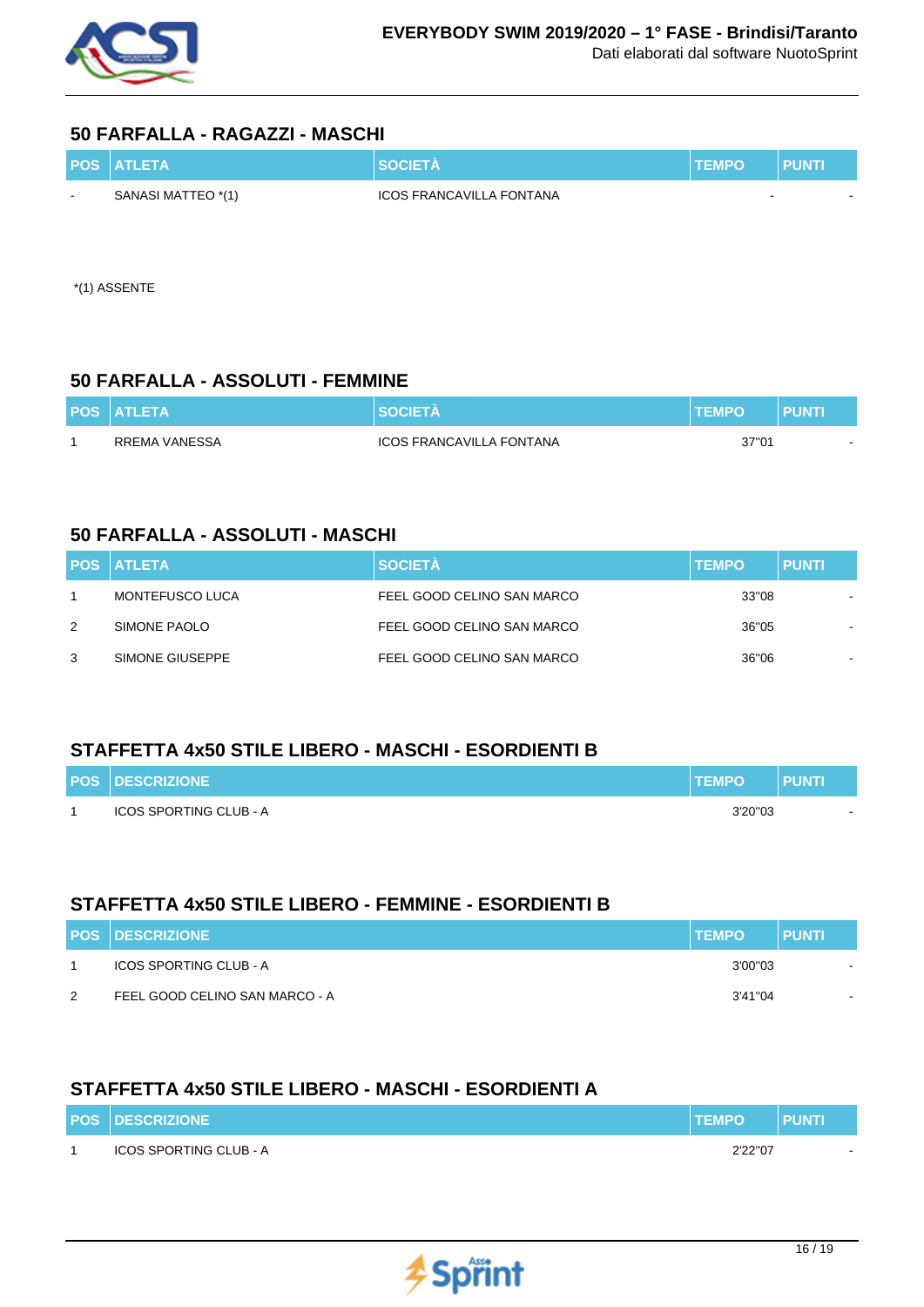

#### **50 FARFALLA - RAGAZZI - MASCHI**

|        | <b>POS ATLETA</b>  | <b>SOCIETA</b>           | <b>TEMPO</b> | <b>PUNTI</b> |
|--------|--------------------|--------------------------|--------------|--------------|
| $\sim$ | SANASI MATTEO *(1) | ICOS FRANCAVILLA FONTANA | $\sim$       |              |

\*(1) ASSENTE

#### **50 FARFALLA - ASSOLUTI - FEMMINE**

| <b>POS ATLETA</b> | <b>SOCIETA</b>                  | <b>TEMPO</b> | PUNTI                    |
|-------------------|---------------------------------|--------------|--------------------------|
| RREMA VANESSA     | <b>ICOS FRANCAVILLA FONTANA</b> | 37"01        | $\overline{\phantom{0}}$ |

### **50 FARFALLA - ASSOLUTI - MASCHI**

|   | <b>POS ATLETA</b> | <b>SOCIETÀ</b>             | <b>TEMPO</b> | <b>PUNTI</b> |
|---|-------------------|----------------------------|--------------|--------------|
|   | MONTEFUSCO LUCA   | FEEL GOOD CELINO SAN MARCO | 33"08        |              |
| 2 | SIMONE PAOLO      | FEEL GOOD CELINO SAN MARCO | 36"05        |              |
| 3 | SIMONE GIUSEPPE   | FEEL GOOD CELINO SAN MARCO | 36"06        |              |

### **STAFFETTA 4x50 STILE LIBERO - MASCHI - ESORDIENTI B**

| <b>POS DESCRIZIONE</b>        | <b>TEMPO</b> | <b>PUNTI</b> |
|-------------------------------|--------------|--------------|
| <b>ICOS SPORTING CLUB - A</b> | 3'20"03      |              |

### **STAFFETTA 4x50 STILE LIBERO - FEMMINE - ESORDIENTI B**

|   | <b>POS DESCRIZIONE</b>         | <b>TEMPO</b> | <b>PUNTI</b> |
|---|--------------------------------|--------------|--------------|
|   | ICOS SPORTING CLUB - A         | 3'00"03      |              |
| 2 | FEEL GOOD CELINO SAN MARCO - A | 3'41"04      | -            |

### **STAFFETTA 4x50 STILE LIBERO - MASCHI - ESORDIENTI A**

| <b>POS DESCRIZIONE</b> | <b>TEMPO</b> | <b>PUNTI</b> |
|------------------------|--------------|--------------|
| ICOS SPORTING CLUB - A | 2'22"07      |              |

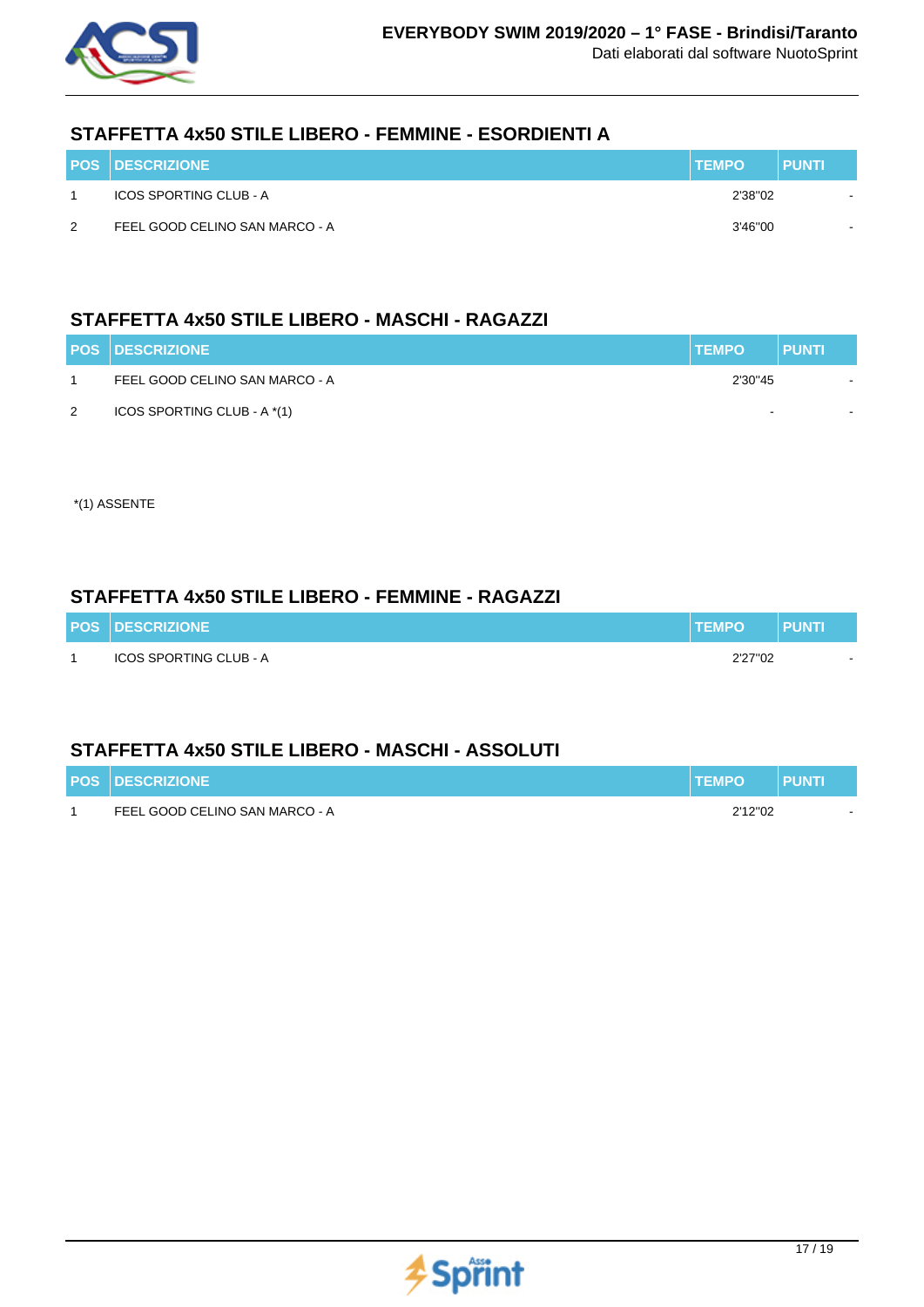

### **STAFFETTA 4x50 STILE LIBERO - FEMMINE - ESORDIENTI A**

|               | <b>POS DESCRIZIONE</b>         | <b>TEMPO</b> | <b>PUNTI</b> |
|---------------|--------------------------------|--------------|--------------|
|               | ICOS SPORTING CLUB - A         | 2'38"02      |              |
| $\mathcal{P}$ | FEEL GOOD CELINO SAN MARCO - A | 3'46"00      |              |

# **STAFFETTA 4x50 STILE LIBERO - MASCHI - RAGAZZI**

|   | <b>POS DESCRIZIONE</b>         | <b>TEMPO</b> | <b>PUNTI</b> |
|---|--------------------------------|--------------|--------------|
|   | FEEL GOOD CELINO SAN MARCO - A | 2'30"45      |              |
| 2 | ICOS SPORTING CLUB - A *(1)    |              |              |

\*(1) ASSENTE

### **STAFFETTA 4x50 STILE LIBERO - FEMMINE - RAGAZZI**

| <b>POS DESCRIZIONE</b> | <b>TEMPO</b> | <b>PUNT</b> |
|------------------------|--------------|-------------|
| ICOS SPORTING CLUB - A | 2'27"02      |             |

### **STAFFETTA 4x50 STILE LIBERO - MASCHI - ASSOLUTI**

| <b>POS DESCRIZIONE</b>         | <b>TEMPO</b> | <b>PUNTI</b> |  |
|--------------------------------|--------------|--------------|--|
| FEEL GOOD CELINO SAN MARCO - A | 2'12"02      |              |  |

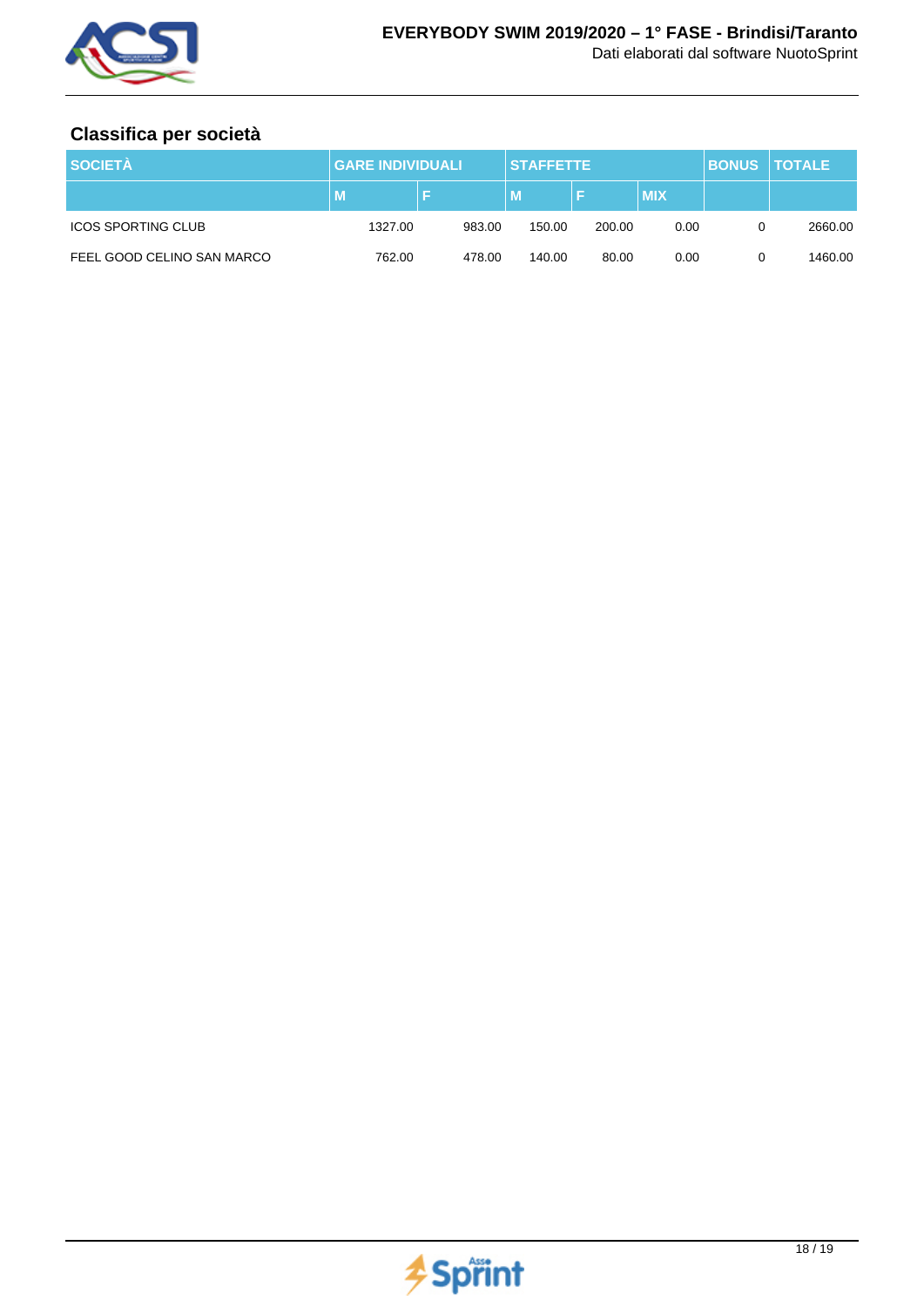

# **Classifica per società**

| <b>SOCIETÀ</b>             | <b>GARE INDIVIDUALI</b> |        | <b>STAFFETTE</b> |        |            | <b>BONUS TOTALE</b> |         |
|----------------------------|-------------------------|--------|------------------|--------|------------|---------------------|---------|
|                            | M                       |        | м                |        | <b>MIX</b> |                     |         |
| <b>ICOS SPORTING CLUB</b>  | 1327.00                 | 983.00 | 150.00           | 200.00 | 0.00       |                     | 2660.00 |
| FEEL GOOD CELINO SAN MARCO | 762.00                  | 478.00 | 140.00           | 80.00  | 0.00       |                     | 1460.00 |